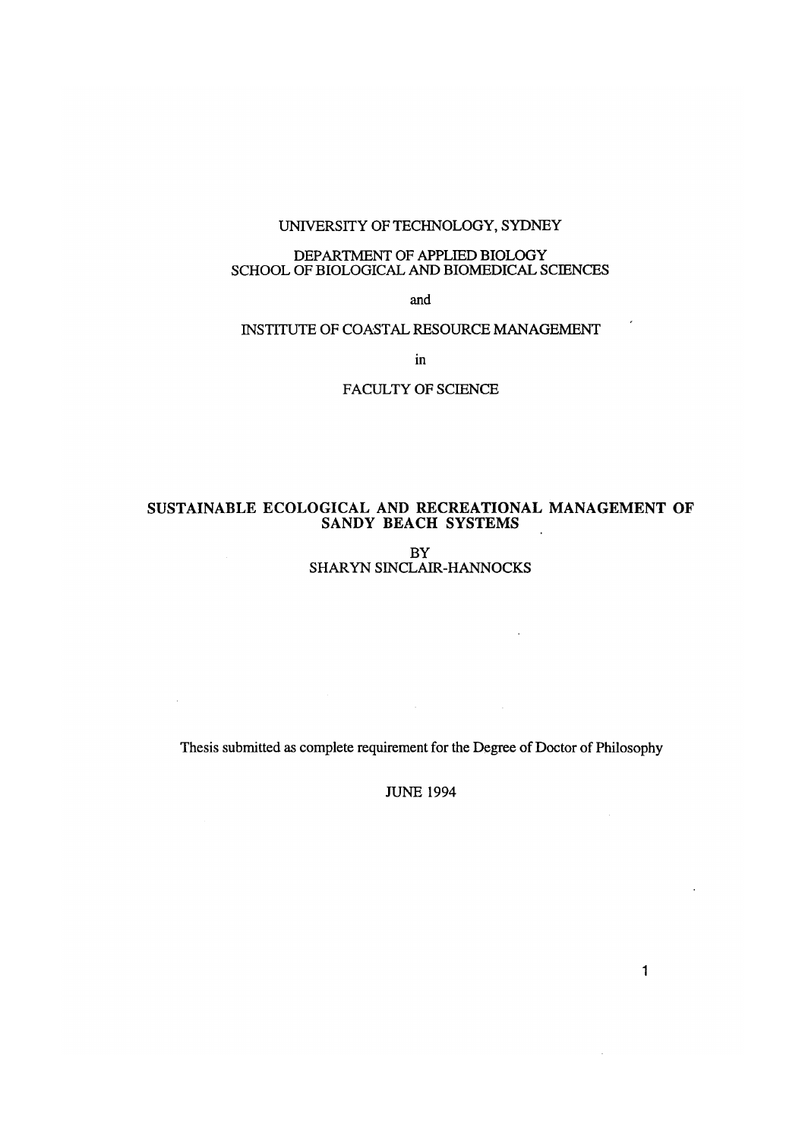### UNIVERSITY OF TECHNOLOGY, SYDNEY

### DEPARTMENT OF APPLIED BIOLOGY SCHOOL OF BIOLOGICAL AND BIOMEDICAL SCIENCES

and

### INSTITUTE OF COASTAL RESOURCE MANAGEMENT

in

FACULTY OF SCIENCE

#### SUSTAINABLE ECOLOGICAL AND RECREATIONAL MANAGEMENT OF SANDY BEACH SYSTEMS l.

BY SHARYN SINCLAIR-HANNOCKS

 $\sim 10$ 

Thesis submitted as complete requirement for the Degree of Doctor of Philosophy

 $\Delta \phi$ 

JUNE 1994

1

 $\mathcal{A}$ 

 $\bar{r}$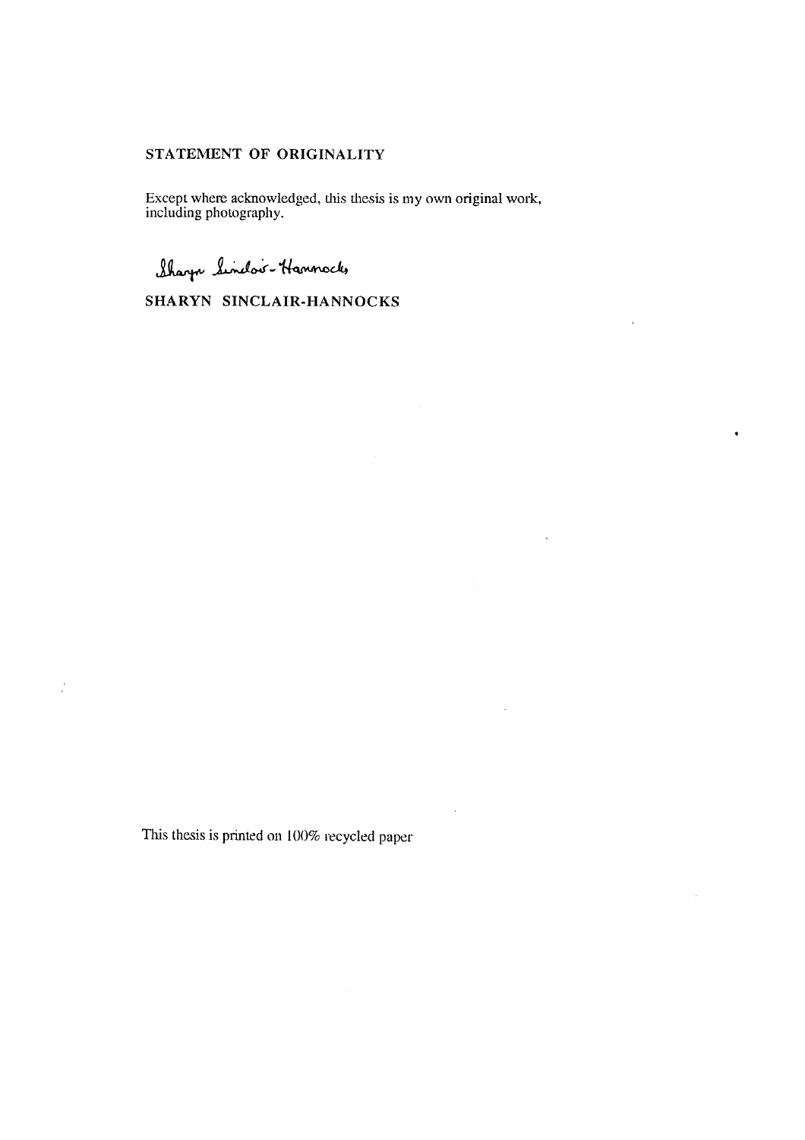### STATEMENT OF ORIGINALITY

Except where acknowledged, this thesis is my own original work, including photography.

 $\ddot{\phantom{0}}$ 

 $\ddot{\phantom{a}}$ 

Sharp Sindov-Hamnock,

SHARYN SINCLAIR-HANNOCKS

This thesis is printed on 100% recycled paper

 $\mathcal{L}$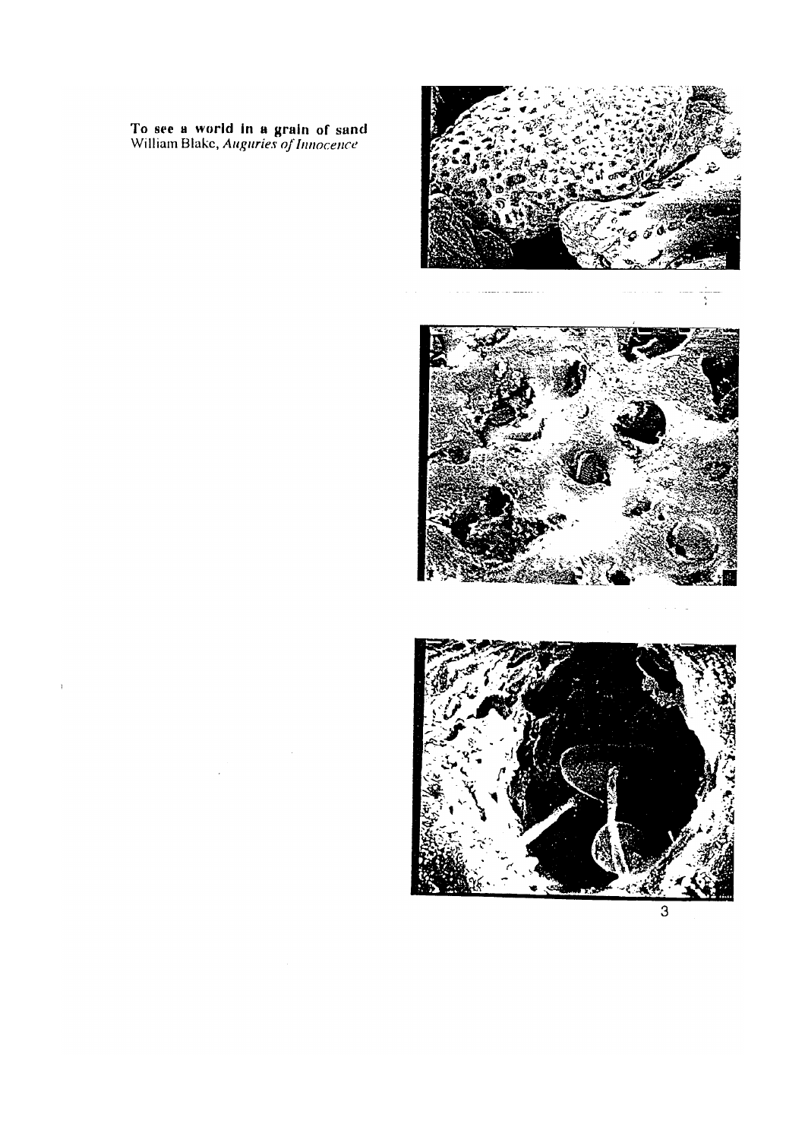To see a world in a grain of sand William Blakc, *Auguries of Innocence* 

 $\chi$ 







3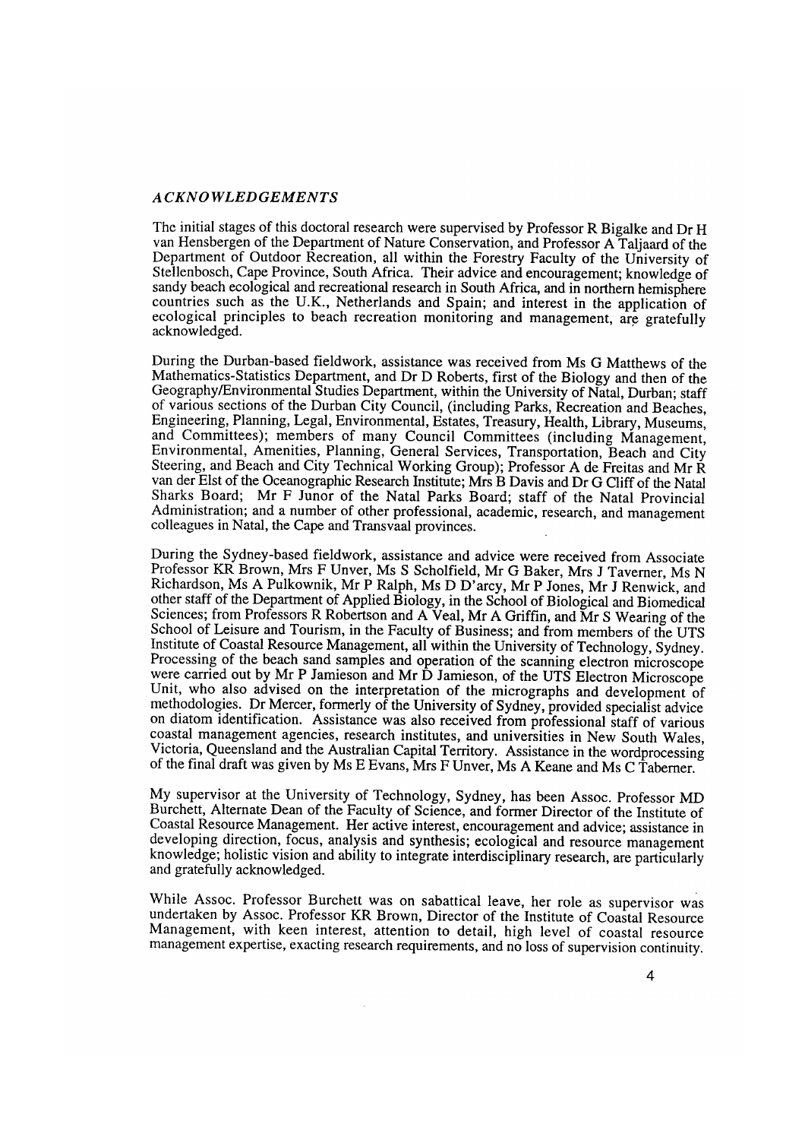#### *ACKNOWLEDGEMENTS*

The initial stages of this doctoral research were supervised by Professor R Bigalke and Dr H van Hensbergen of the Department of Nature Conservation, and Professor A Taljaard of the Department of Outdoor Recreation, all within the Forestry Faculty of the University of Stellenbosch, Cape Province, South Africa. Their advice and encouragement; knowledge of sandy beach ecological and recreational research in South Africa, and in northern hemisphere countries such as the U.K., Netherlands and Spain; and interest in the application of ecological principles to beach recreation monitoring and management, are gratefully acknowledged.

During the Durban-based fieldwork, assistance was received from Ms G Matthews of the Mathematics-Statistics Department, and Dr D Roberts, first of the Biology and then of the Geography/Environmental Studies Department, within the University of Natal, Durban; staff of various sections of the Durban City Council, (including Parks, Recreation and Beaches, Engineering, Planning, Legal, Environmental, Estates, Treasury, Health, Library, Museums, and Committees); members of many Council Committees (including Management, Environmental, Amenities, Planning, General Services, Transportation, Beach and City Steering, and Beach and City Technical Working Group); Professor A de Freitas and Mr R van der Elst of the Oceanographic Research Institute; Mrs B Davis and Dr G Cliff of the Natal Sharks Board; Mr F Junor of the Natal Parks Board; staff of the Natal Provincial Administration; and a number of other professional, academic, research, and management colleagues in Natal, the Cape and Transvaal provinces.

During the Sydney-based fieldwork, assistance and advice were received from Associate Professor KR Brown, Mrs F Unver, Ms S Scholfield, Mr G Baker, Mrs J Taverner, Ms N Richardson, Ms A Pulkownik, Mr P Ralph, Ms D D'arcy, Mr P Jones, Mr J Renwick, and other staff of the Department of Applied Biology, in the School of Biological and Biomedical Sciences; from Professors R Robertson and A Veal, Mr A Griffin, and Mr S Wearing of the School of Leisure and Tourism, in the Faculty of Business; and from members of the UTS Institute of Coastal Resource Management, all within the University of Technology, Sydney. Processing of the beach sand samples and operation of the scanning electron microscope were carried out by Mr P Jamieson and Mr D Jamieson, of the UTS Electron Microscope Unit, who also advised on the interpretation of the micrographs and development of methodologies. Dr Mercer, formerly of the University of Sydney, provided specialist advice on diatom identification. Assistance was also received from professional staff of various coastal management agencies, research institutes, and universities in New South Wales, Victoria, Queensland and the Australian Capital Territory. Assistance in the wordprocessing of the final draft was given by Ms E Evans, Mrs F Unver, Ms A Keane and Ms C Taberner.

My supervisor at the University of Technology, Sydney, has been Assoc. Professor MD Burchett, Alternate Dean of the Faculty of Science, and former Director of the Institute of Coastal Resource Management. Her active interest, encouragement and advice; assistance in developing direction, focus, analysis and synthesis; ecological and resource management knowledge; holistic vision and ability to integrate interdisciplinary research, are particularly and gratefully acknowledged.

While Assoc. Professor Burchett was on sabattical leave, her role as supervisor was undertaken by Assoc. Professor KR Brown, Director of the Institute of Coastal Resource Management, with keen interest, attention to detail, high level of coastal resource management expertise, exacting research requirements, and no loss of supervision continuity.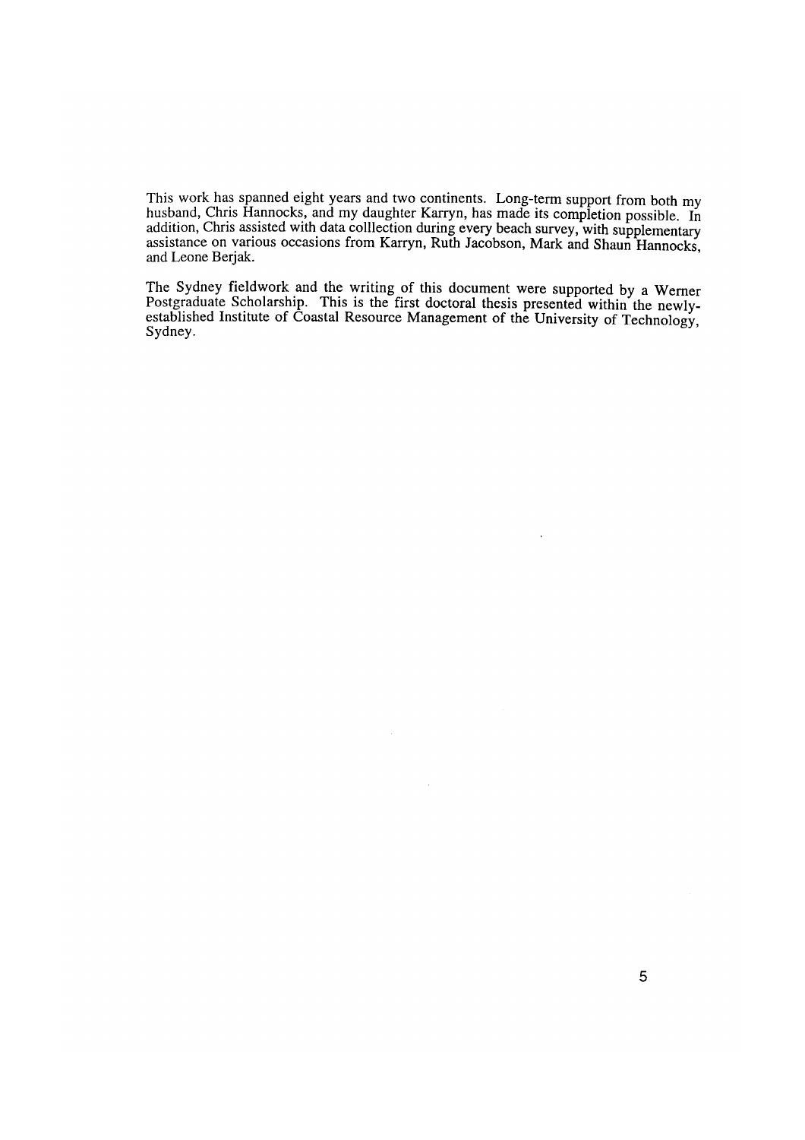This work has spanned eight years and two continents. Long-term support from both my husband, Chris Hannocks, and my daughter Karryn, has made its completion possible. In addition, Chris assisted with data colllection during every beach survey, with supplementary assistance on various occasions from Karryn, Ruth Jacobson, Mark and Shaun Hannocks, and Leone Berjak.

The Sydney fieldwork and the writing of this document were supported by a Wemer Postgraduate Scholarship. This is the first doctoral thesis presented within the newlyestablished Institute of Coastal Resource Management of the University of Technology, Sydney.

 $\mathcal{L}$ 

 $\ddot{\phantom{a}}$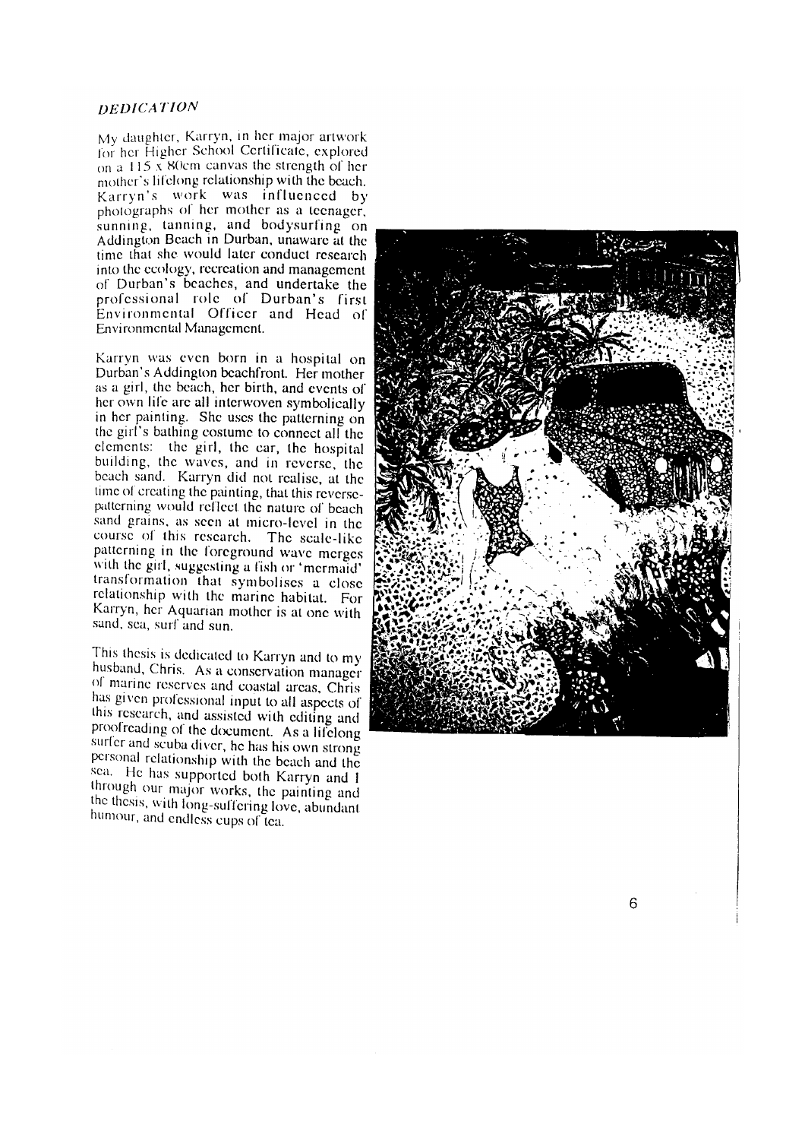#### *DEDICATION*

My daughter, Karryn, in her\_major artwork tor her Higher School Certificate, explored on a 115  $\overline{x}$  80cm canvas the strength of her mother's lifelong relationship with the beach. Karryn's work was influenced by  $photography$  of her mother as a teenager,  $suming$ , tanning, and bodysurfing on Addington Beach in Durban, unaware at the time that she would later conduct research into the ecology, recreation and management of Durban's beaches, and undertake the professional role of Durban's first Environmental Officer and Head of Environmental Management.

Karrvn was even born in a hospital on Durban's Addington beachfront. Her mother as a girl, the beach, her birth, and events or her own life are all interwoven symbolically in her painting. She uses the patterning on the girl's bathing costume to connect all the elements: the girl, the car, the hospital building, the waves, and in reverse, the beach sand. Karryn did not realise, at the time of creating the painting, that this reversepatterning would reflect the nature of beach sand grains. as seen at micro-level in the course of this research. The scale-like patterning in the foreground wave merges with the girl, suggesting a fish or 'mermaid' transformation that symbolises a close relationship with the marine habitat. For Karryn, her Aquanan mother is at one with sand, sea, surf and sun.

This thesis is dedicated to Karryn and to my husband, Chris. As a conservation manager of manne reserves and coastal areas. Chris has given professional input to all aspects of this research, and assisted with editing and proofreading of the document. As a lifelong surfer and scuba diver, he has his own strong personal relationship with the beach and the sea. He has supported both Karryn and I through our major works, the painting and the thesis, with long-suffering love, abundant humour, and endless cups of tea.



6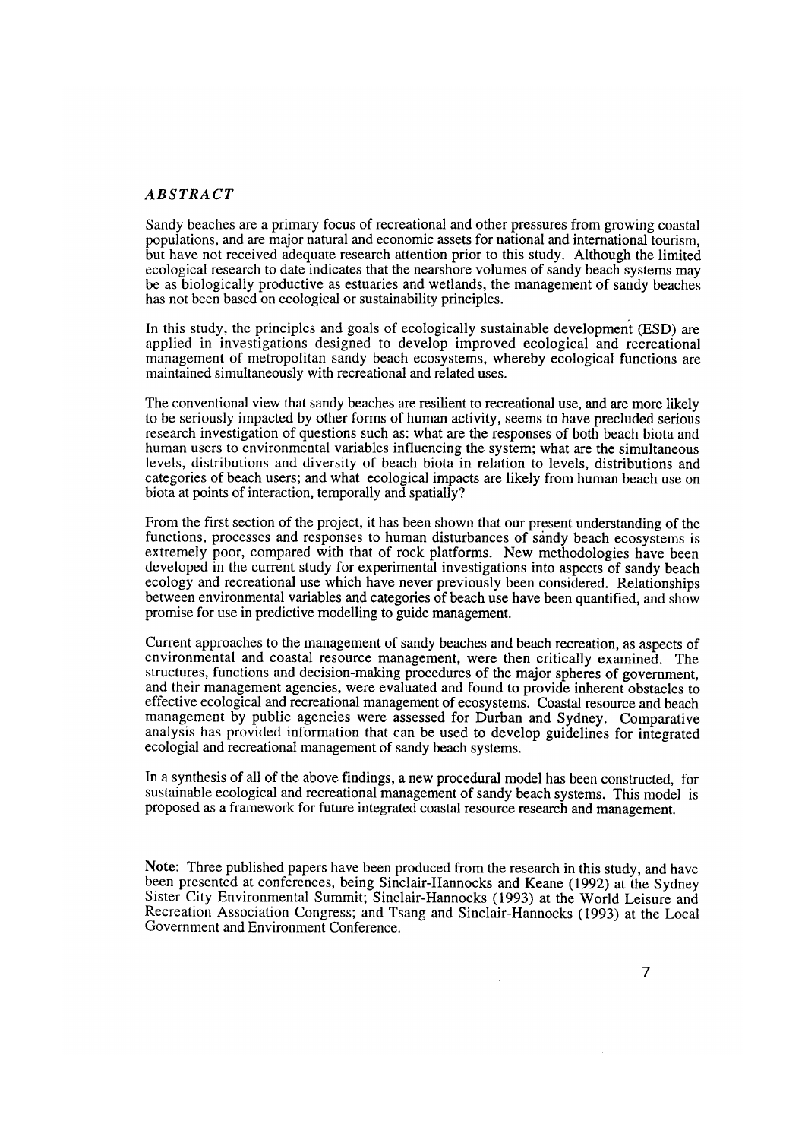#### ABSTRACT

Sandy beaches are a primary focus of recreational and other pressures from growing coastal populations, and are major natural and economic assets for national and international tourism, but have not received adequate research attention prior to this study. Although the limited ecological research to date indicates that the nearshore volumes of sandy beach systems may be as biologically productive as estuaries and wetlands, the management of sandy beaches has not been based on ecological or sustainability principles.

In this study, the principles and goals of ecologically sustainable developmen't (ESD) are applied in investigations designed to develop improved ecological and recreational management of metropolitan sandy beach ecosystems, whereby ecological functions are maintained simultaneously with recreational and related uses.

The conventional view that sandy beaches are resilient to recreational use, and are more likely to be seriously impacted by other forms of human activity, seems to have precluded serious research investigation of questions such as: what are the responses of both beach biota and human users to environmental variables influencing the system; what are the simultaneous levels, distributions and diversity of beach biota in relation to levels, distributions and categories of beach users; and what ecological impacts are likely from human beach use on biota at points of interaction, temporally and spatially?

From the first section of the project, it has been shown that our present understanding of the functions, processes and responses to human disturbances of sandy beach ecosystems is extremely poor, compared with that of rock platforms. New methodologies have been developed in the current study for experimental investigations into aspects of sandy beach ecology and recreational use which have never previously been considered. Relationships between environmental variables and categories of beach use have been quantified, and show promise for use in predictive modelling to guide management.

Current approaches to the management of sandy beaches and beach recreation, as aspects of environmental and coastal resource management, were then critically examined. The structures, functions and decision-making procedures of the major spheres of government, and their management agencies, were evaluated and found to provide inherent obstacles to effective ecological and recreational management of ecosystems. Coastal resource and beach management by public agencies were assessed for Durban and Sydney. Comparative analysis has provided information that can be used to develop guidelines for integrated ecologial and recreational management of sandy beach systems.

In a synthesis of all of the above findings, a new procedural model has been constructed, for sustainable ecological and recreational management of sandy beach systems. This model is proposed as a framework for future integrated coastal resource research and management.

Note: Three published papers have been produced from the research in this study, and have been presented at conferences, being Sinclair-Hannocks and Keane (1992) at the Sydney Sister City Environmental Summit; Sinclair-Hannocks (1993) at the World Leisure and Recreation Association Congress; and Tsang and Sinclair-Hannocks (1993) at the Local Government and Environment Conference.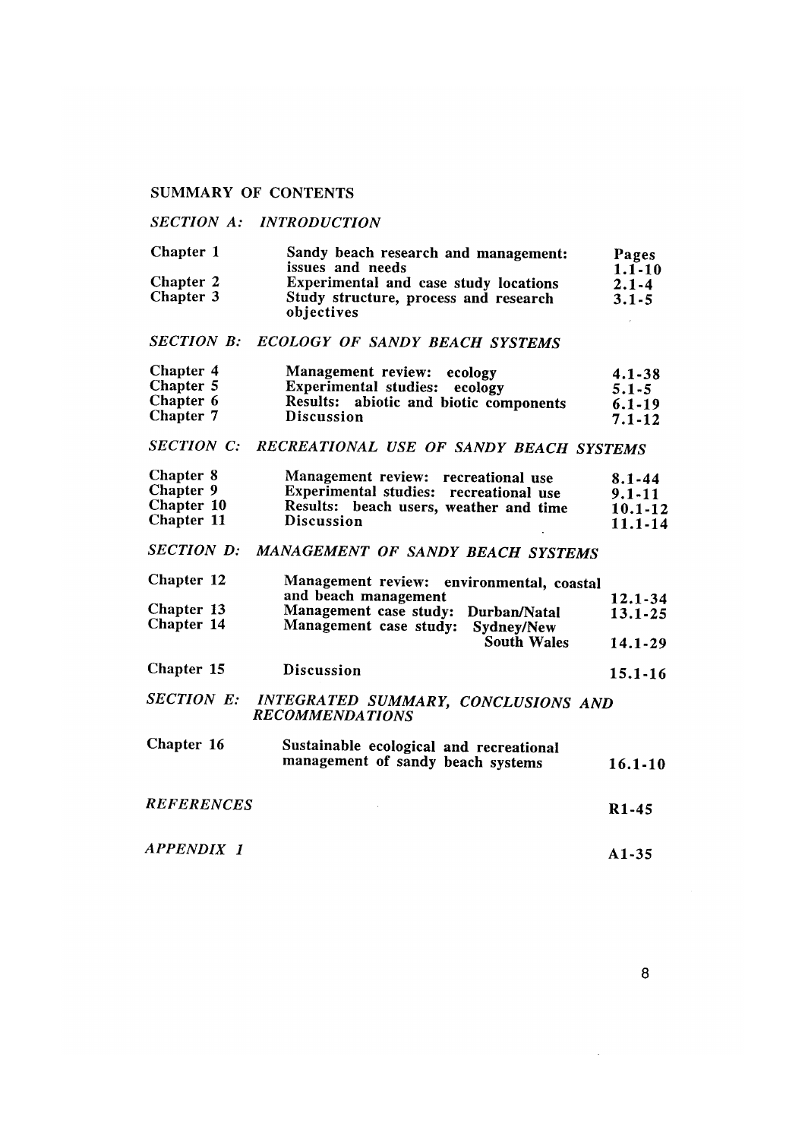### SUMMARY OF CONTENTS

### *SECTION A: INTRODUCTION*

| Chapter 1        | Sandy beach research and management:                | Pages      |
|------------------|-----------------------------------------------------|------------|
|                  | issues and needs                                    | $1.1 - 10$ |
| <b>Chapter 2</b> | <b>Experimental and case study locations</b>        | $2.1 - 4$  |
| Chapter 3        | Study structure, process and research<br>objectives | $3.1 - 5$  |
|                  |                                                     |            |

## *SECTION B: ECOLOGY OF SANDY BEACH SYSTEMS*

| Chapter 4 | Management review: ecology             | $4.1 - 38$ |
|-----------|----------------------------------------|------------|
| Chapter 5 | Experimental studies: ecology          | $5.1 - 5$  |
| Chapter 6 | Results: abiotic and biotic components | $6.1 - 19$ |
| Chapter 7 | <b>Discussion</b>                      | $7.1 - 12$ |

## *SECTION C: RECREATIONAL USE OF SANDY BEACH SYSTEMS*

| Chapter 8        | Management review: recreational use    | 8.1-44      |
|------------------|----------------------------------------|-------------|
| <b>Chapter 9</b> | Experimental studies: recreational use | $9.1 - 11$  |
| Chapter 10       | Results: beach users, weather and time | $10.1 - 12$ |
| Chapter 11       | <b>Discussion</b>                      | 11.1-14     |

# *SECTION D: MANAGEMENT OF SANDY BEACH SYSTEMS*

| Chapter 12 | Management review: environmental, coastal |             |
|------------|-------------------------------------------|-------------|
|            | and beach management                      | $12.1 - 34$ |
| Chapter 13 | Management case study: Durban/Natal       | $13.1 - 25$ |
| Chapter 14 | Management case study: Sydney/New         |             |
|            | <b>South Wales</b>                        | $14.1 - 29$ |

Chapter 15 Discussion 15.1-16

#### *SECTION E: INTEGRATED SUMMARY, CONCLUSIONS AND RECOMMENDATIONS*

| Chapter 16        | Sustainable ecological and recreational<br>management of sandy beach systems | $16.1 - 10$        |
|-------------------|------------------------------------------------------------------------------|--------------------|
| <b>REFERENCES</b> |                                                                              | R <sub>1</sub> -45 |

*APPENDIX 1*  A1-35

8

 $\sim 10^{-10}$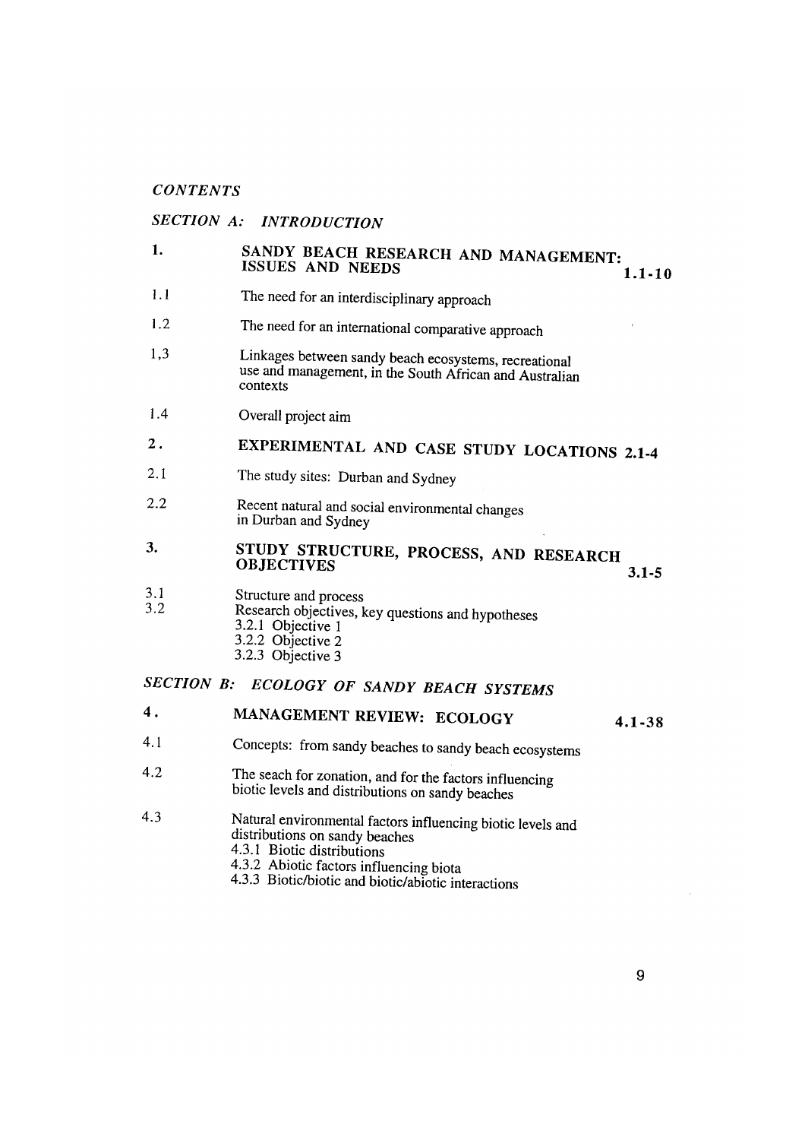### *CONTENTS*

# *SECTION A: INTRODUCTION*

- 1.1 The need for an interdisciplinary approach
- 1.2 The need for an international comparative approach
- 1,3 Linkages between sandy beach ecosystems, recreational use and management, in the South African and Australian contexts
- 1.4 Overall project aim

#### 2. EXPERIMENTAL AND CASE STUDY LOCATIONS 2.1-4

- 2.1 The study sites: Durban and Sydney
- 2.2 Recent natural and social environmental changes in Durban and Sydney
- 3. STUDY STRUCTURE, PROCESS, AND RESEARCH OBJECTIVES 3.1-5
- 3.1 3.2 Structure and process
	- Research objectives, key questions and hypotheses
		- 3.2.1 Objective 1
			- 3.2.2 Objective 2
		- 3.2.3 Objective 3

# *SECTION B: ECOLOGY OF SANDY BEACH SYSTEMS*

#### 4 . MANAGEMENT REVIEW: ECOLOGY 4.1-38

- 4.1 Concepts: from sandy beaches to sandy beach ecosystems
- 4.2 The seach for zonation, and for the factors influencing biotic levels and distributions on sandy beaches
- 4.3 Natural environmental factors influencing biotic levels and distributions on sandy beaches 4.3.1 Biotic distributions
	- 4.3.2 Abiotic factors influencing biota
	- 4.3 .3 Biotic/biotic and biotic/abiotic interactions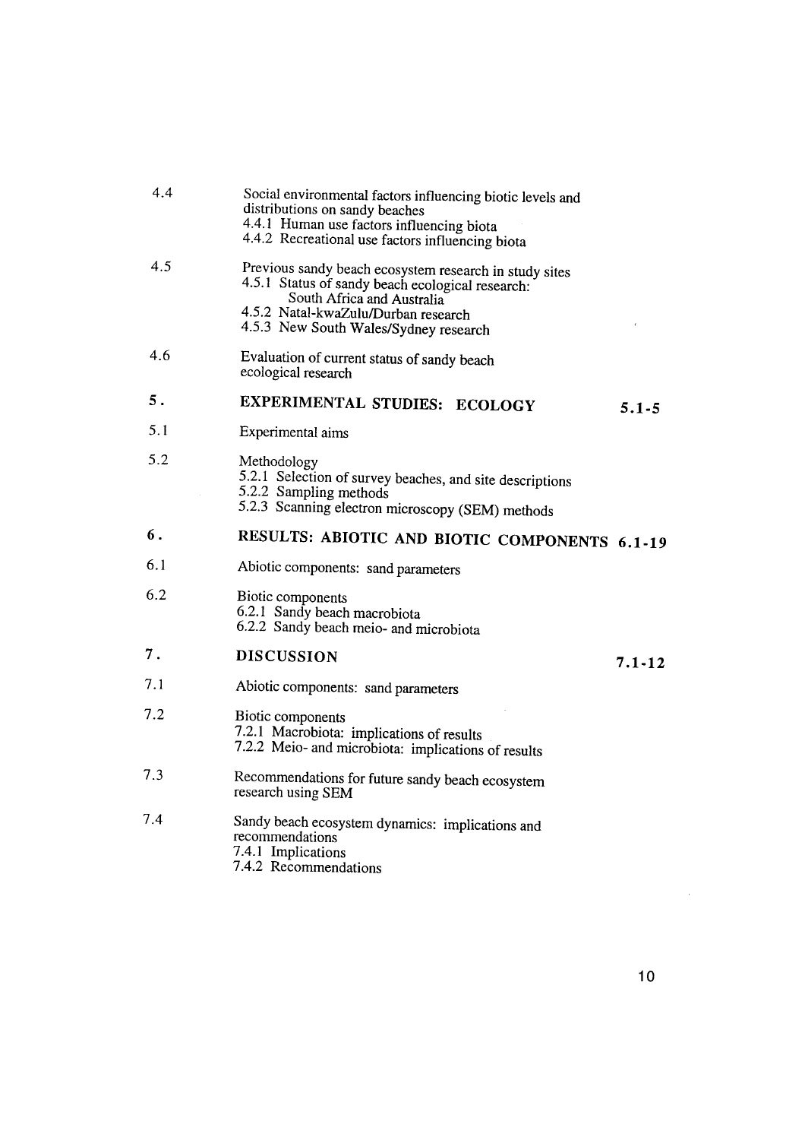| 4.4 | Social environmental factors influencing biotic levels and<br>distributions on sandy beaches<br>4.4.1 Human use factors influencing biota<br>4.4.2 Recreational use factors influencing biota                            |            |
|-----|--------------------------------------------------------------------------------------------------------------------------------------------------------------------------------------------------------------------------|------------|
| 4.5 | Previous sandy beach ecosystem research in study sites<br>4.5.1 Status of sandy beach ecological research:<br>South Africa and Australia<br>4.5.2 Natal-kwaZulu/Durban research<br>4.5.3 New South Wales/Sydney research |            |
| 4.6 | Evaluation of current status of sandy beach<br>ecological research                                                                                                                                                       |            |
| 5.  | EXPERIMENTAL STUDIES: ECOLOGY                                                                                                                                                                                            | $5.1 - 5$  |
| 5.1 | Experimental aims                                                                                                                                                                                                        |            |
| 5.2 | Methodology<br>5.2.1 Selection of survey beaches, and site descriptions<br>5.2.2 Sampling methods<br>5.2.3 Scanning electron microscopy (SEM) methods                                                                    |            |
| 6.  | RESULTS: ABIOTIC AND BIOTIC COMPONENTS 6.1-19                                                                                                                                                                            |            |
| 6.1 | Abiotic components: sand parameters                                                                                                                                                                                      |            |
| 6.2 | Biotic components<br>6.2.1 Sandy beach macrobiota<br>6.2.2 Sandy beach meio- and microbiota                                                                                                                              |            |
| 7.  | <b>DISCUSSION</b>                                                                                                                                                                                                        | $7.1 - 12$ |
| 7.1 | Abiotic components: sand parameters                                                                                                                                                                                      |            |
| 7.2 | Biotic components<br>7.2.1 Macrobiota: implications of results<br>7.2.2 Meio- and microbiota: implications of results                                                                                                    |            |
| 7.3 | Recommendations for future sandy beach ecosystem<br>research using SEM                                                                                                                                                   |            |
| 7.4 | Sandy beach ecosystem dynamics: implications and<br>recommendations<br>7.4.1 Implications<br>7.4.2 Recommendations                                                                                                       |            |
|     |                                                                                                                                                                                                                          |            |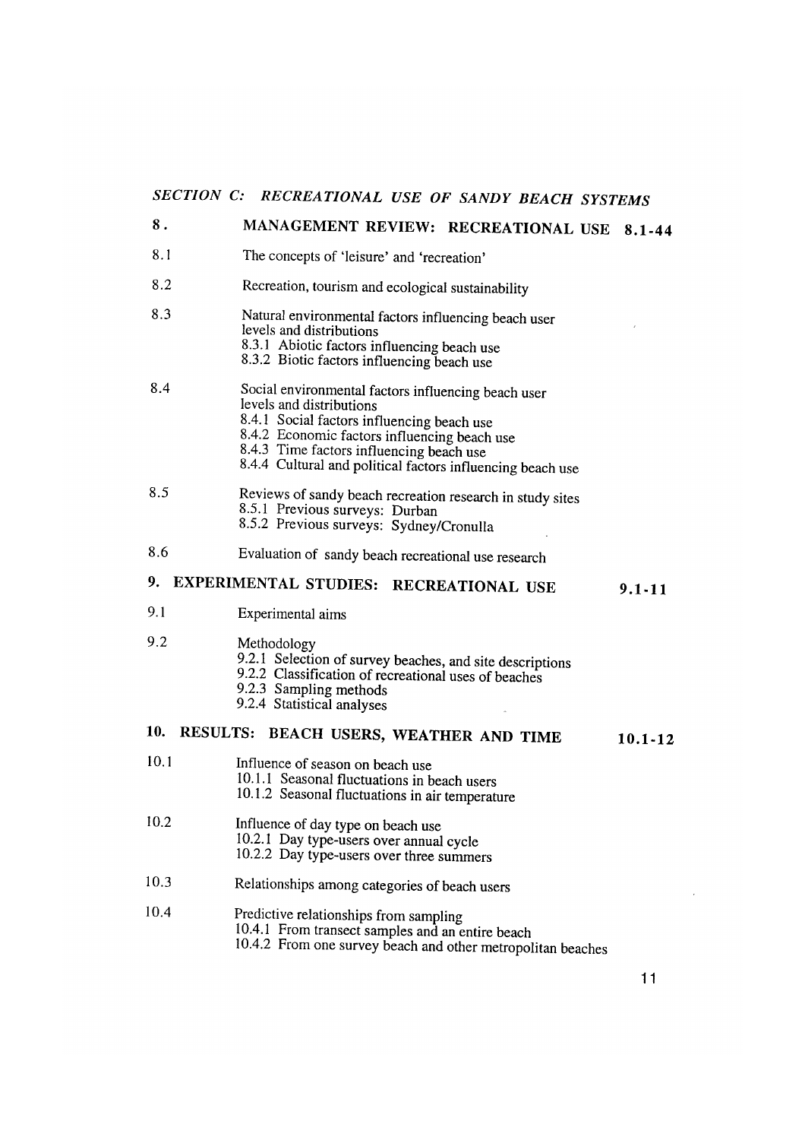# *SECTION C: RECREATIONAL USE OF SANDY BEACH SYSTEMS*

### 8. 8.1 8.2 8.3 MANAGEMENT REVIEW: RECREATIONAL USE 8.1-44 8.4 8.5 8.6 The concepts of 'leisure' and 'recreation' Recreation, tourism and ecological sustainability Natural environmental factors influencing beach user levels and distributions 8.3.I Abiotic factors influencing beach use 8.3.2 Biotic factors influencing beach use Social environmental factors influencing beach user levels and distributions 8.4.I Social factors influencing beach use 8.4.2 Economic factors influencing beach use 8.4.3 Time factors influencing beach use 8.4.4 Cultural and political factors influencing beach use Reviews of sandy beach recreation research in study sites 8.5.1 Previous surveys: Durban 8.5.2 Previous surveys: Sydney/Cronulla Evaluation of sandy beach recreational use research 9. EXPERIMENTAL STUDIES: RECREATIONAL USE 9.I 9.2 Experimental aims Methodology 9.2.1 Selection of survey beaches, and site descriptions 9 .2.2 Classification of recreational uses of beaches 9.2.3 Sampling methods 9.2.4 Statistical analyses 10. RESULTS: BEACH USERS, WEATHER AND TIME 10.1 Influence of season on beach use 10.1.1 Seasonal fluctuations in beach users 10.1.2 Seasonal fluctuations in air temperature 10.2 Influence of day type on beach use 10.2.1 Day type-users over annual cycle 10.2.2 Day type-users over three summers 10.3 Relationships among categories of beach users 10.4 Predictive relationships from sampling 10.4.1 From transect samples and an entire beach 9.1-11 10.1-12

10.4.2 From one survey beach and other metropolitan beaches

11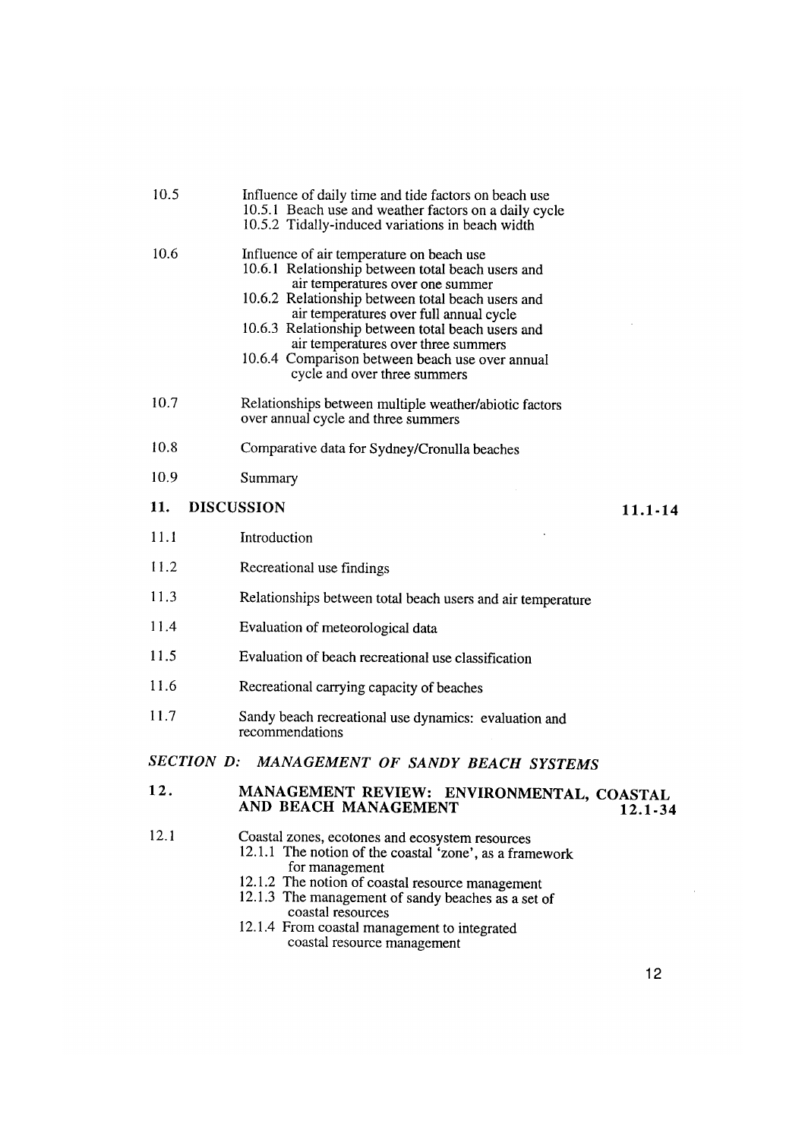| 10.5                                         | Influence of daily time and tide factors on beach use<br>10.5.1 Beach use and weather factors on a daily cycle<br>10.5.2 Tidally-induced variations in beach width                                                                                                                                                                                                                                                |  |
|----------------------------------------------|-------------------------------------------------------------------------------------------------------------------------------------------------------------------------------------------------------------------------------------------------------------------------------------------------------------------------------------------------------------------------------------------------------------------|--|
| 10.6                                         | Influence of air temperature on beach use<br>10.6.1 Relationship between total beach users and<br>air temperatures over one summer<br>10.6.2 Relationship between total beach users and<br>air temperatures over full annual cycle<br>10.6.3 Relationship between total beach users and<br>air temperatures over three summers<br>10.6.4 Comparison between beach use over annual<br>cycle and over three summers |  |
| 10.7                                         | Relationships between multiple weather/abiotic factors<br>over annual cycle and three summers                                                                                                                                                                                                                                                                                                                     |  |
| 10.8                                         | Comparative data for Sydney/Cronulla beaches                                                                                                                                                                                                                                                                                                                                                                      |  |
| 10.9                                         | Summary                                                                                                                                                                                                                                                                                                                                                                                                           |  |
| 11.                                          | <b>DISCUSSION</b><br>$11.1 - 14$                                                                                                                                                                                                                                                                                                                                                                                  |  |
| 11.1                                         | Introduction                                                                                                                                                                                                                                                                                                                                                                                                      |  |
| 11.2                                         | Recreational use findings                                                                                                                                                                                                                                                                                                                                                                                         |  |
| 11.3                                         | Relationships between total beach users and air temperature                                                                                                                                                                                                                                                                                                                                                       |  |
| 11.4                                         | Evaluation of meteorological data                                                                                                                                                                                                                                                                                                                                                                                 |  |
| 11.5                                         | Evaluation of beach recreational use classification                                                                                                                                                                                                                                                                                                                                                               |  |
| 11.6                                         | Recreational carrying capacity of beaches                                                                                                                                                                                                                                                                                                                                                                         |  |
| 11.7                                         | Sandy beach recreational use dynamics: evaluation and<br>recommendations                                                                                                                                                                                                                                                                                                                                          |  |
| SECTION D: MANAGEMENT OF SANDY BEACH SYSTEMS |                                                                                                                                                                                                                                                                                                                                                                                                                   |  |
| 12.                                          | MANAGEMENT REVIEW:<br>ENVIRONMENTAL, COASTAL<br>AND BEACH MANAGEMENT<br>$12.1 - 34$                                                                                                                                                                                                                                                                                                                               |  |
| 12.1                                         | Coastal zones, ecotones and ecosystem resources<br>12.1.1 The notion of the coastal 'zone', as a framework<br>for management<br>12.1.2 The notion of coastal resource management<br>12.1.3 The management of sandy beaches as a set of<br>coastal resources<br>12.1.4 From coastal management to integrated<br>coastal resource management                                                                        |  |

 $\mathcal{L}_{\mathcal{L}}$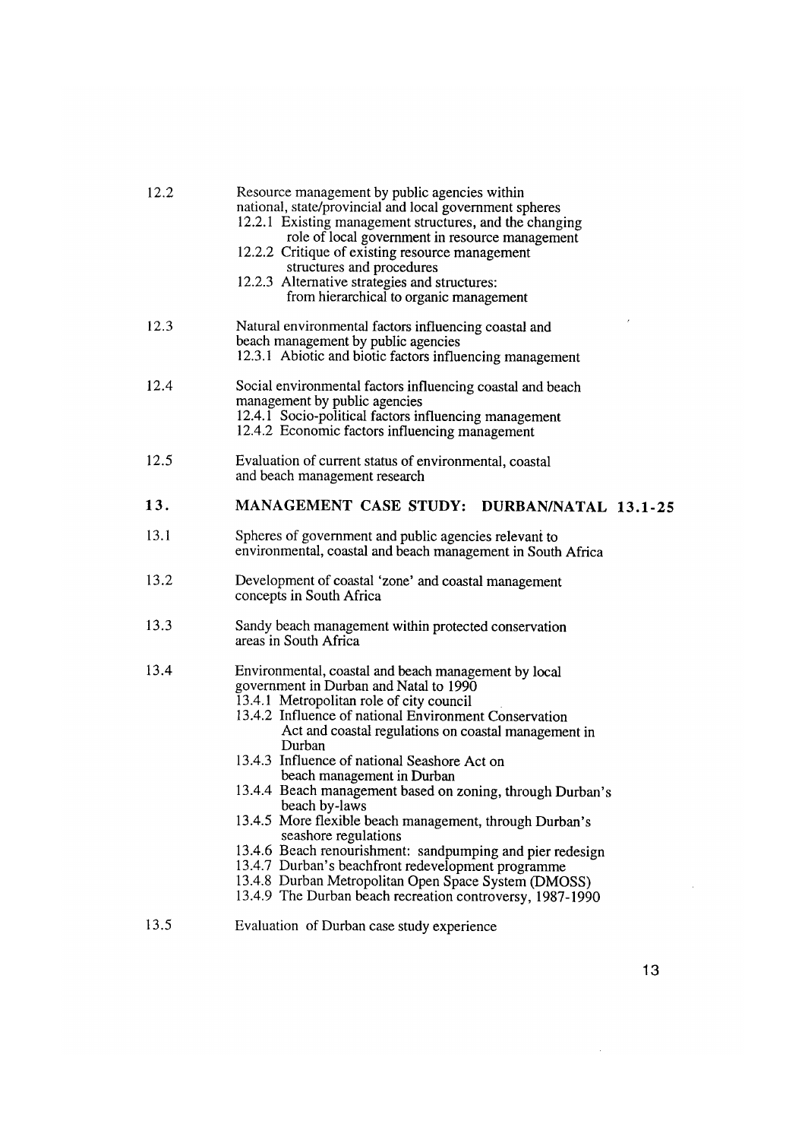| 12.2 | Resource management by public agencies within<br>national, state/provincial and local government spheres<br>12.2.1 Existing management structures, and the changing<br>role of local government in resource management<br>12.2.2 Critique of existing resource management<br>structures and procedures<br>12.2.3 Alternative strategies and structures:<br>from hierarchical to organic management                                                                                                                                                                                                                                                                                                                                                           |
|------|--------------------------------------------------------------------------------------------------------------------------------------------------------------------------------------------------------------------------------------------------------------------------------------------------------------------------------------------------------------------------------------------------------------------------------------------------------------------------------------------------------------------------------------------------------------------------------------------------------------------------------------------------------------------------------------------------------------------------------------------------------------|
| 12.3 | Natural environmental factors influencing coastal and<br>beach management by public agencies<br>12.3.1 Abiotic and biotic factors influencing management                                                                                                                                                                                                                                                                                                                                                                                                                                                                                                                                                                                                     |
| 12.4 | Social environmental factors influencing coastal and beach<br>management by public agencies<br>12.4.1 Socio-political factors influencing management<br>12.4.2 Economic factors influencing management                                                                                                                                                                                                                                                                                                                                                                                                                                                                                                                                                       |
| 12.5 | Evaluation of current status of environmental, coastal<br>and beach management research                                                                                                                                                                                                                                                                                                                                                                                                                                                                                                                                                                                                                                                                      |
| 13.  | MANAGEMENT CASE STUDY: DURBAN/NATAL 13.1-25                                                                                                                                                                                                                                                                                                                                                                                                                                                                                                                                                                                                                                                                                                                  |
| 13.1 | Spheres of government and public agencies relevant to<br>environmental, coastal and beach management in South Africa                                                                                                                                                                                                                                                                                                                                                                                                                                                                                                                                                                                                                                         |
| 13.2 | Development of coastal 'zone' and coastal management<br>concepts in South Africa                                                                                                                                                                                                                                                                                                                                                                                                                                                                                                                                                                                                                                                                             |
| 13.3 | Sandy beach management within protected conservation<br>areas in South Africa                                                                                                                                                                                                                                                                                                                                                                                                                                                                                                                                                                                                                                                                                |
| 13.4 | Environmental, coastal and beach management by local<br>government in Durban and Natal to 1990<br>13.4.1 Metropolitan role of city council<br>13.4.2 Influence of national Environment Conservation<br>Act and coastal regulations on coastal management in<br>Durban<br>13.4.3 Influence of national Seashore Act on<br>beach management in Durban<br>13.4.4 Beach management based on zoning, through Durban's<br>beach by-laws<br>13.4.5 More flexible beach management, through Durban's<br>seashore regulations<br>13.4.6 Beach renourishment: sandpumping and pier redesign<br>13.4.7 Durban's beachfront redevelopment programme<br>13.4.8 Durban Metropolitan Open Space System (DMOSS)<br>13.4.9 The Durban beach recreation controversy, 1987-1990 |
| 13.5 | Evaluation of Durban case study experience                                                                                                                                                                                                                                                                                                                                                                                                                                                                                                                                                                                                                                                                                                                   |

 $\mathcal{L}^{\text{max}}_{\text{max}}$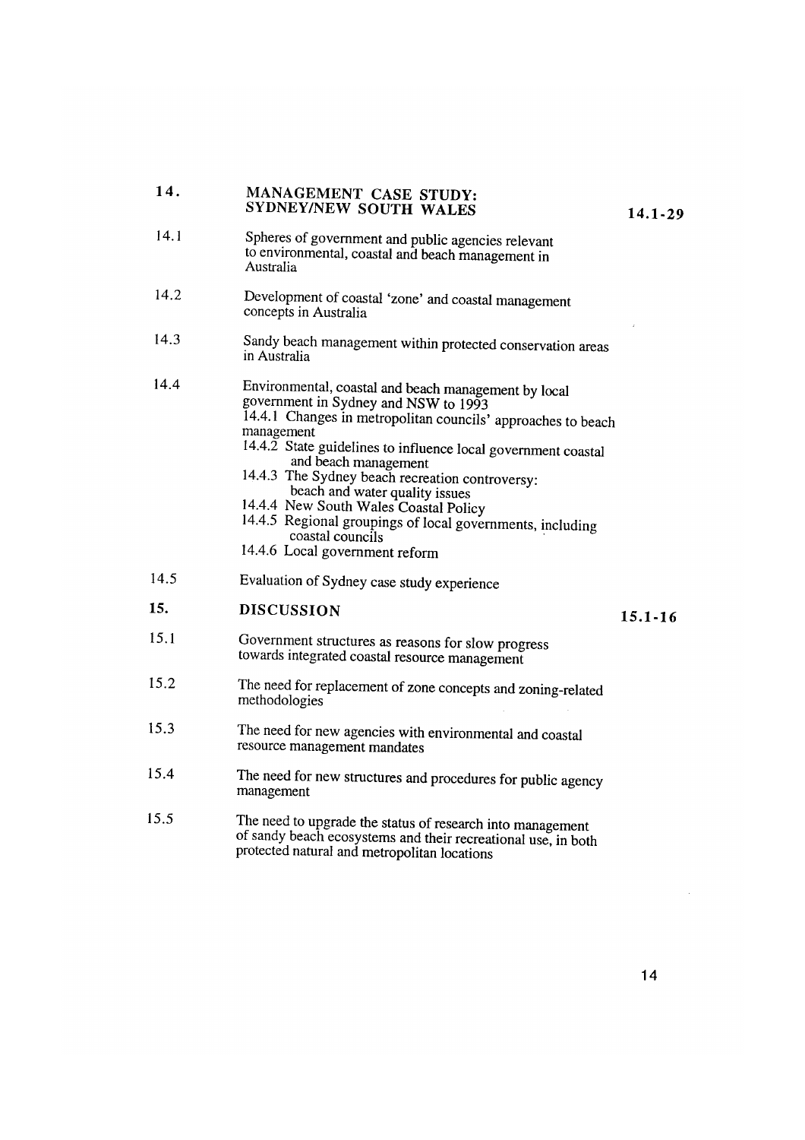## 14. MANAGEMENT CASE STUDY: SYDNEY/NEW SOUTH WALES 14.1-29

- 14.1 Spheres of government and public agencies relevant to environmental, coastal and beach management in Australia
- 14.2 Development of coastal 'zone' and coastal management concepts in Australia
- 14.3 Sandy beach management within protected conservation areas in Australia
- 14.4 Environmental, coastal and beach management by local government in Sydney and NSW to 1993 14.4.1 Changes in metropolitan councils' approaches to beach management
	- 14.4.2 State guidelines to influence local government coastal and beach management
	- 14.4.3 The Sydney beach recreation controversy: beach and water quality issues
	- 14.4.4 New South Wales Coastal Policy
	- 14.4.5 Regional groupings of local governments, including coastal councils
	- 14.4.6 Local government reform
- 14.5 Evaluation of Sydney case study experience

# 15. DISCUSSION 15.1-16

- 15.1 Government structures as reasons for slow progress towards integrated coastal resource management
- 15.2 The need for replacement of zone concepts and zoning-related methodologies
- 15.3 The need for new agencies with environmental and coastal resource management mandates
- 15.4 The need for new structures and procedures for public agency management
- 15.5 The need to upgrade the status of research into management of sandy beach ecosystems and their recreational use, in both protected natural and metropolitan locations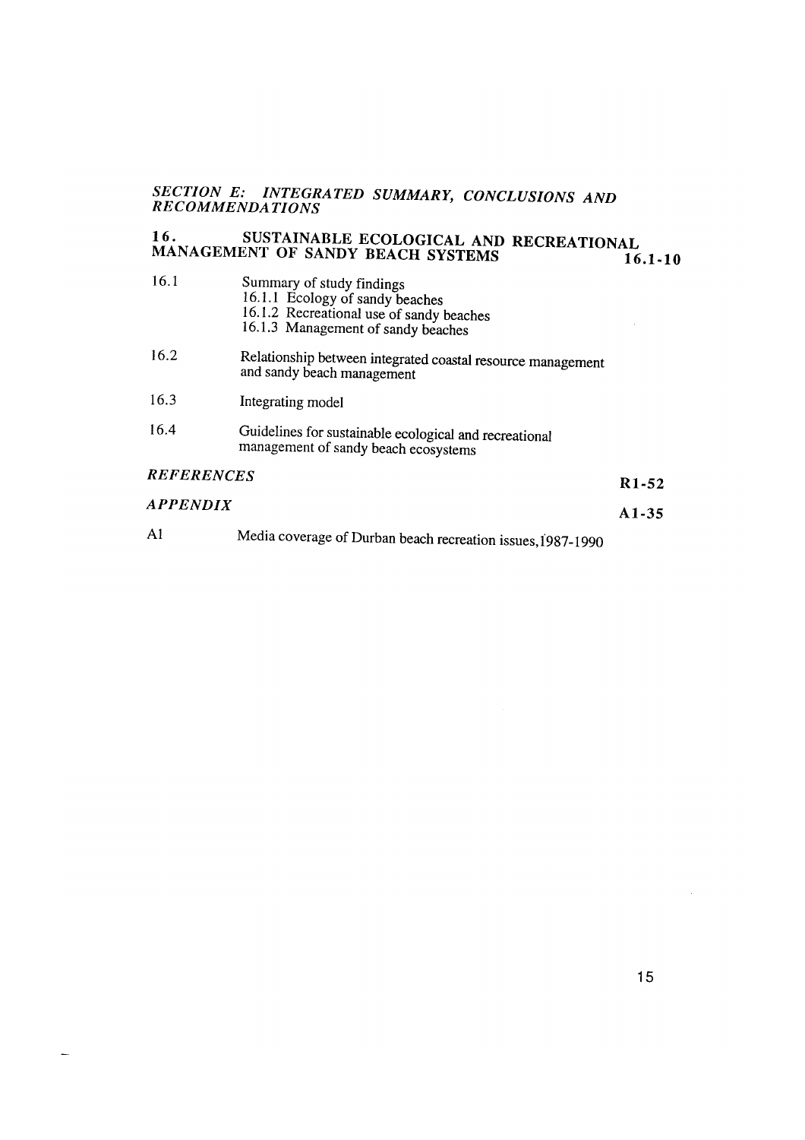# *SECTION E: INTEGRATED SUMMARY, CONCLUSIONS AND RECOMMENDATIONS*

# 16. SUSTAINABLE ECOLOGICAL AND RECREATIONAL MANAGEMENT OF SANDY BEACH SYSTEMS **16.1-10**

| 16.1              | Summary of study findings<br>16.1.1 Ecology of sandy beaches<br>16.1.2 Recreational use of sandy beaches<br>16.1.3 Management of sandy beaches | ź.                 |
|-------------------|------------------------------------------------------------------------------------------------------------------------------------------------|--------------------|
| 16.2              | Relationship between integrated coastal resource management<br>and sandy beach management                                                      |                    |
| 16.3              | Integrating model                                                                                                                              |                    |
| 16.4              | Guidelines for sustainable ecological and recreational<br>management of sandy beach ecosystems                                                 |                    |
| <b>REFERENCES</b> |                                                                                                                                                | R <sub>1</sub> -52 |
| <b>APPENDIX</b>   |                                                                                                                                                | $A1-35$            |
| A1                | Media coverage of Durban beach recreation issues, 1987-1990                                                                                    |                    |

 $\bar{z}$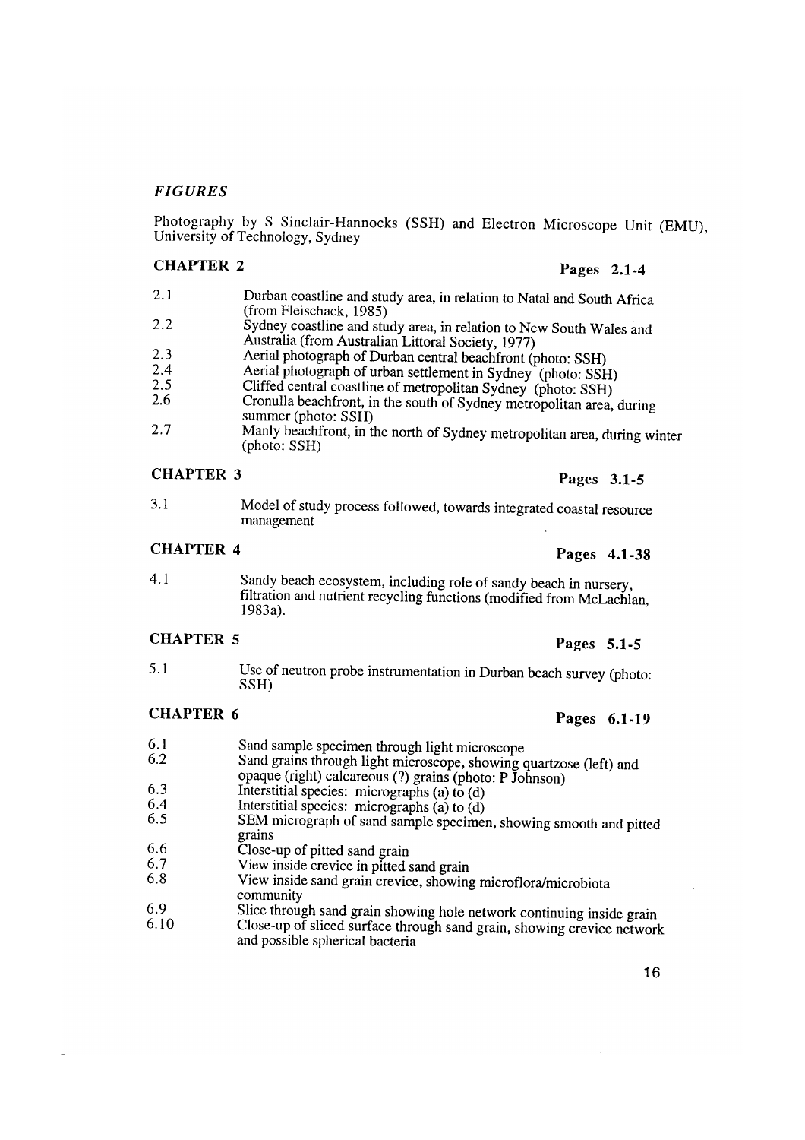### *FIGURES*

Photography by S Sinclair-Hannocks (SSH) and Electron Microscope Unit (EMU), University of Technology, Sydney

## CHAPTER 2 Pages 2.1-4

- 2.1 Durban coastline and study area, in relation to Natal and South Africa (from Fleischack, 1985) 2.2 Sydney coastline and study area, in relation to New South Wales and Australia (from Australian Littoral Society, 1977) 2.3 Aerial photograph of Durban central beachfront (photo: SSH)<br>2.4 Aerial photograph of urban settlement in Sydnau (photo: SSH) 2.4 Aerial photograph of urban settlement in Sydney (photo: SSH)<br>2.5 Cliffed central coastline of metropolitan Sydney (photo: SSH)
- 2.5 Cliffed central coastline of metropolitan Sydney (photo: SSH)
- Cronulla beachfront, in the south of Sydney metropolitan area, during summer (photo: SSH)
- 2.7 Manly beachfront, in the north of Sydney metropolitan area, during winter (photo: SSH)

# CHAPTER 3 Pages 3.1-5

3.1 Model of study process followed, towards integrated coastal resource management

# CHAPTER 4 Pages 4.1-38

4.1 Sandy beach ecosystem, including role of sandy beach in nursery, filtration and nutrient recycling functions (modified from McLachlan, 1983a).

# CHAPTER 5 Pages 5.1-5

5.1 Use of neutron probe instrumentation in Durban beach survey (photo: SSH)

## CHAPTER 6 Pages 6.1-19

- 
- 6.1 Sand sample specimen through light microscope<br>6.2 Sand grains through light microscope showing
- Sand grains through light microscope, showing quartzose (left) and opaque (right) calcareous (?) grains (photo: P Johnson)
- 6.3 Interstitial species: micrographs (a) to (d)<br>6.4 Interstitial species: micrographs (a) to (d)
- 
- $6.5$  SEM micrograph of sand sample specimen, showing smooth and pitted grains
- 6.6 Close-up of pitted sand grain<br>6.7 View inside crevice in pitted
- 6.7 View inside crevice in pitted sand grain<br>6.8 View inside sand grain crevice showing
- View inside sand grain crevice, showing microflora/microbiota community
- 6.9 Slice through sand grain showing hole network continuing inside grain<br>6.10 Close-up of sliced surface through sand grain, showing crowing private
- Close-up of sliced surface through sand grain, showing crevice network and possible spherical bacteria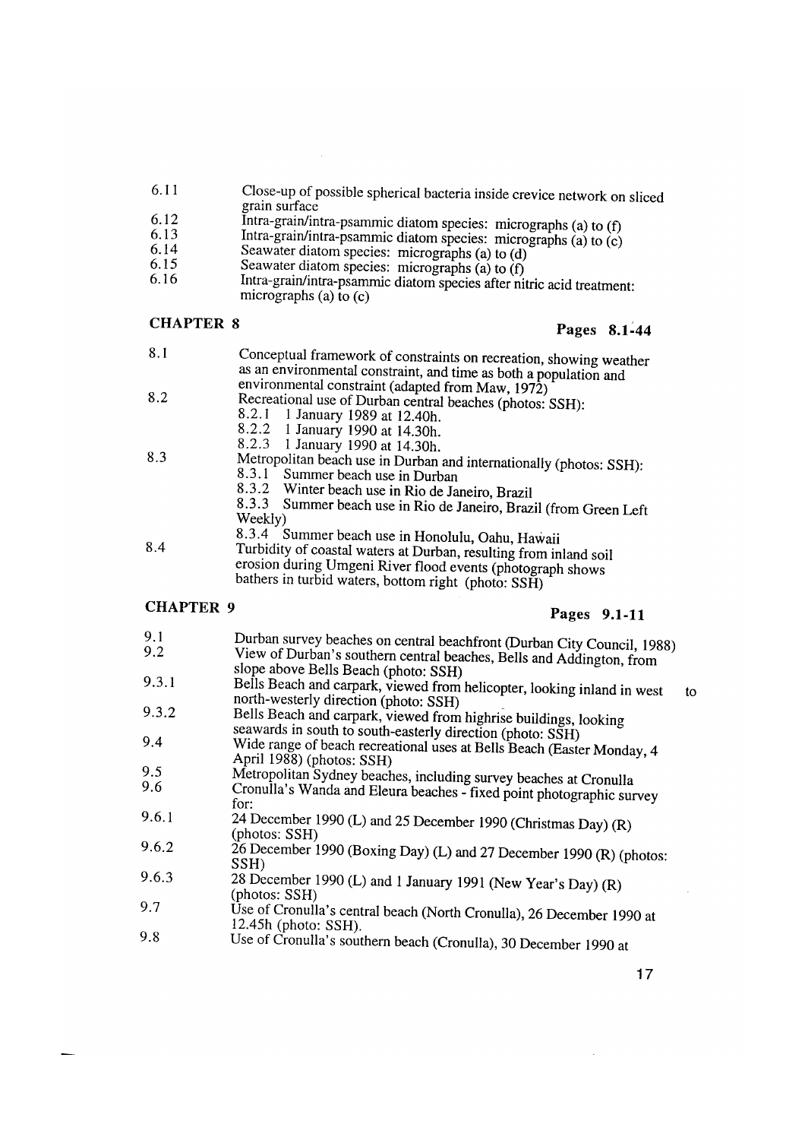- 6.II Close-up of possible spherical bacteria inside crevice network on sliced grain surface
- 6.I2 Intra-grain/intra-psammic diatom species: micrographs (a) to (t)
- 6.I3 Intra-grain/intra-psammic diatom species: micrographs (a) to (c)
- 6.I4 Seawater diatom species: micrographs (a) to (d)
- 6.I5 Seawater diatom species: micrographs (a) to (f)
- 6.I6 Intra-grain/intra-psamrnic diatom species after nitric acid treatment: micrographs (a) to  $(c)$

# CHAPTER 8 Pages 8.1-44

- 8.1 Conceptual framework of constraints on recreation, showing weather as an environmental constraint, and time as both a population and environmental constraint (adapted from Maw, 1972) 8.2
	- Recreational use of Durban central beaches (photos: SSH):<br>8.2.1 1 January 1989 at 12 40h
		- 8.2.1 1 January 1989 at 12.40h.<br>8.2.2 1 January 1990 at 14.30h
		- 8.2.2 I January 1990 at 14.30h.
		- 8.2.3 I January 1990 at 14.30h.
- 8.3 Metropolitan beach use in Durban and internationally (photos: SSH):<br>8.3.1 Summer beach use in Durban  $8.3.1$  Summer beach use in Durban  $8.3.2$  Winter beach use in Rio de Ia
	- 8.3.2 Winter beach use in Rio de Janeiro, Brazil<br>8.3.3 Summer beach use in Rio de Janeiro, Braz
	- 8.3.3 Summer beach use in Rio de Janeiro, Brazil (from Green Left Weekly)
- 8.4 8.3.4 Summer beach use in Honolulu, Oahu, Hawaii
	- Turbidity of coastal waters at Durban, resulting from inland soil erosion during Umgeni River flood events (photograph shows bathers in turbid waters, bottom right (photo: SSH)

# CHAPTER 9 **Pages 9.1-11**

- 9.1 Durban survey beaches on central beachfront (Durban City Council, 1988)<br>9.2 View of Durban's southern central beaches, Balla and Addinative for View of Durban's southern central beaches, Bells and Addington, from slope above Bells Beach (photo: SSH) 9.3.1 Bells Beach and carpark, viewed from helicopter, looking inland in west to north-westerly direction (photo: SSH) . 9.3.2 Bells Beach and carpark, viewed from highrise buildings, looking seawards in south to south-easterly direction (photo: SSH) 9.4 Wide range of beach recreational uses at Bells Beach (Easter Monday, 4 April 1988) (photos: SSH) 9.5 Metropolitan Sydney beaches, including survey beaches at Cronulla<br>9.6 Cronulla's Wanda and Eleura beaches. Fixed point also to all 9.6 Cronulla's Wanda and Eleura beaches- fixed point photographic survey for: 9.6.1 24 December 1990 (L) and <sup>25</sup>December I990 (Christmas Day) (R) (photos: SSH) 9.6.2  $26$  December 1990 (Boxing Day) (L) and 27 December 1990 (R) (photos: SSH)
- 9.6.3 <sup>28</sup>December 1990 (L) and 1 January <sup>1991</sup>(New Year's Day) (R) (photos: SSH)
- 9.7 Use of Cronulla's central beach (North Cronulla), 26 December 1990 at 12.45h (photo: SSH).
- 9.8 Use of Cronulla's southern beach (Cronulla), 30 December 1990 at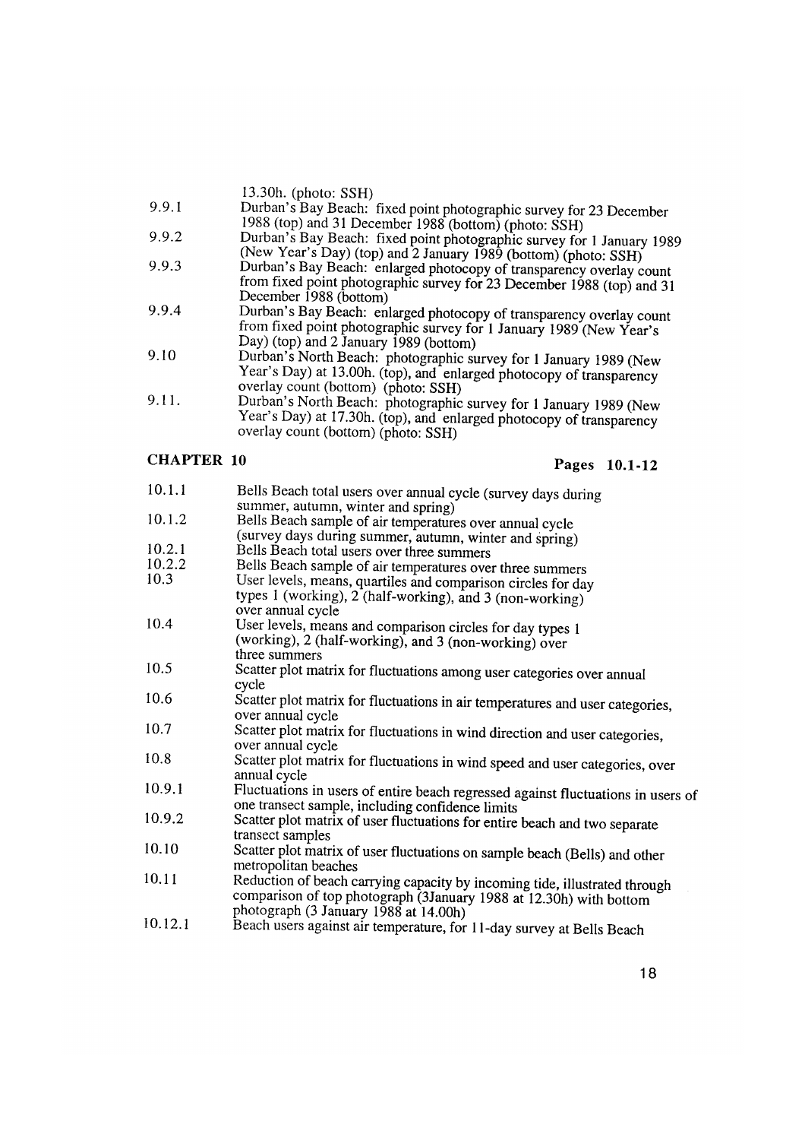- 9.9.1 Durban's Bay Beach: fixed point photographic survey for <sup>23</sup>December 1988 (top) and <sup>31</sup>December 1988 (bottom) (photo: SSH)
- 9.9.2 Durban's Bay Beach: fixed point photographic survey for 1 January 1989 (New Year's Day) (top) and 2 January 1989 (bottom) (photo: SSH)
- 9.9.3 Durban's Bay Beach: enlarged photocopy of transparency overlay count from fixed point photographic survey for 23 December 1988 (top) and <sup>31</sup> December 1988 (bottom)
- 9.9.4 Durban's Bay Beach: enlarged photocopy of transparency overlay count from fixed point photographic survey for 1 January 1989 (New Year's Day) (top) and 2 January 1989 (bottom)
- 9.10 Durban's North Beach: photographic survey for 1 January 1989 (New Year's Day) at 13.00h. (top), and enlarged photocopy of transparency overlay count (bottom) (photo: SSH)
- 9.11. Durban's North Beach: photographic survey for 1 January 1989 (New Year's Day) at 17.30h. (top), and enlarged photocopy of transparency overlay count (bottom) (photo: SSH)

# CHAPTER **10** Pages **10.1-12**

| 10.1.1  | Bells Beach total users over annual cycle (survey days during<br>summer, autumn, winter and spring)                                                                                       |
|---------|-------------------------------------------------------------------------------------------------------------------------------------------------------------------------------------------|
| 10.1.2  | Bells Beach sample of air temperatures over annual cycle                                                                                                                                  |
|         | (survey days during summer, autumn, winter and spring)                                                                                                                                    |
| 10.2.1  | Bells Beach total users over three summers                                                                                                                                                |
| 10.2.2  | Bells Beach sample of air temperatures over three summers                                                                                                                                 |
| 10.3    | User levels, means, quartiles and comparison circles for day                                                                                                                              |
|         | types 1 (working), 2 (half-working), and 3 (non-working)<br>over annual cycle                                                                                                             |
| 10.4    | User levels, means and comparison circles for day types 1                                                                                                                                 |
|         | (working), 2 (half-working), and 3 (non-working) over                                                                                                                                     |
|         | three summers                                                                                                                                                                             |
| 10.5    | Scatter plot matrix for fluctuations among user categories over annual<br>cycle                                                                                                           |
| 10.6    | Scatter plot matrix for fluctuations in air temperatures and user categories,<br>over annual cycle                                                                                        |
| 10.7    | Scatter plot matrix for fluctuations in wind direction and user categories,<br>over annual cycle                                                                                          |
| 10.8    | Scatter plot matrix for fluctuations in wind speed and user categories, over<br>annual cycle                                                                                              |
| 10.9.1  | Fluctuations in users of entire beach regressed against fluctuations in users of<br>one transect sample, including confidence limits                                                      |
| 10.9.2  | Scatter plot matrix of user fluctuations for entire beach and two separate<br>transect samples                                                                                            |
| 10.10   | Scatter plot matrix of user fluctuations on sample beach (Bells) and other<br>metropolitan beaches                                                                                        |
| 10.11   | Reduction of beach carrying capacity by incoming tide, illustrated through<br>comparison of top photograph (3January 1988 at 12.30h) with bottom<br>photograph (3 January 1988 at 14.00h) |
| 10.12.1 | Beach users against air temperature, for 11-day survey at Bells Beach                                                                                                                     |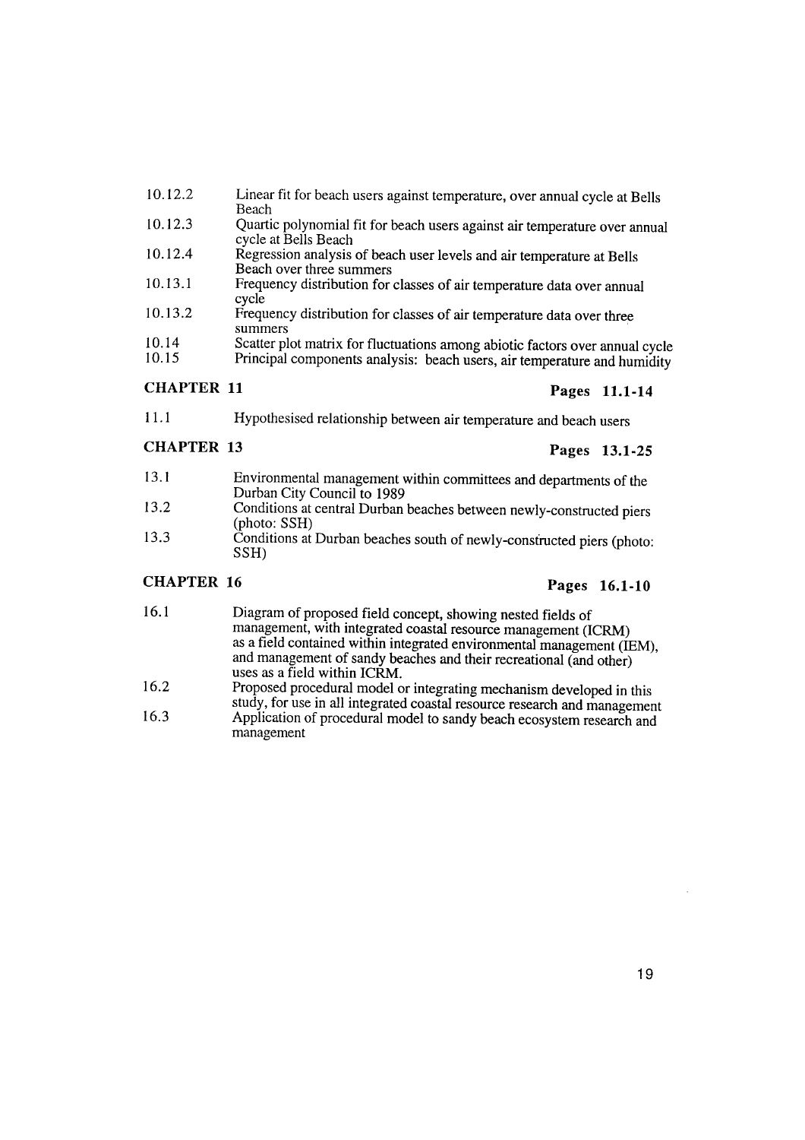- 10.12.2 Linear fit for beach users against temperature, over annual cycle at Bells Beach
- 10.12.3 Quartic polynomial fit for beach users against air temperature over annual cycle at Bells Beach
- 10.12.4 Regression analysis of beach user levels and air temperature at Bells Beach over three summers
- 10.13.1 Frequency distribution for classes of air temperature data over annual cycle
- 10.13.2 Frequency distribution for classes of air temperature data over three summers
- 10.14 10.15 Scatter plot matrix for fluctuations among abiotic factors over annual cycle Principal components analysis: beach users, air temperature and humidity

### CHAPTER 11 Pages 11.1-14

11.1 Hypothesised relationship between air temperature and beach users

# CHAPTER 13 Pages 13.1-25

- 13.1 Environmental management within committees and departments of the Durban City Council to 1989
- 13.2 Conditions at central Durban beaches between newly-constructed piers (photo: SSH)
- 13.3 Conditions at Durban beaches south of newly-constructed piers (photo: SSH)

## CHAPTER 16 **Pages** 16.1-10

- 16.1 Diagram of proposed field concept, showing nested fields of management, with integrated coastal resource management (ICRM) as a field contained within integrated environmental management (IEM), and management of sandy beaches and their recreational (and other) uses as a field within ICRM.
- 16.2 Proposed procedural model or integrating mechanism developed in this study, for use in all integrated coastal resource research and management
- 16.3 Application of procedural model to sandy beach ecosystem research and management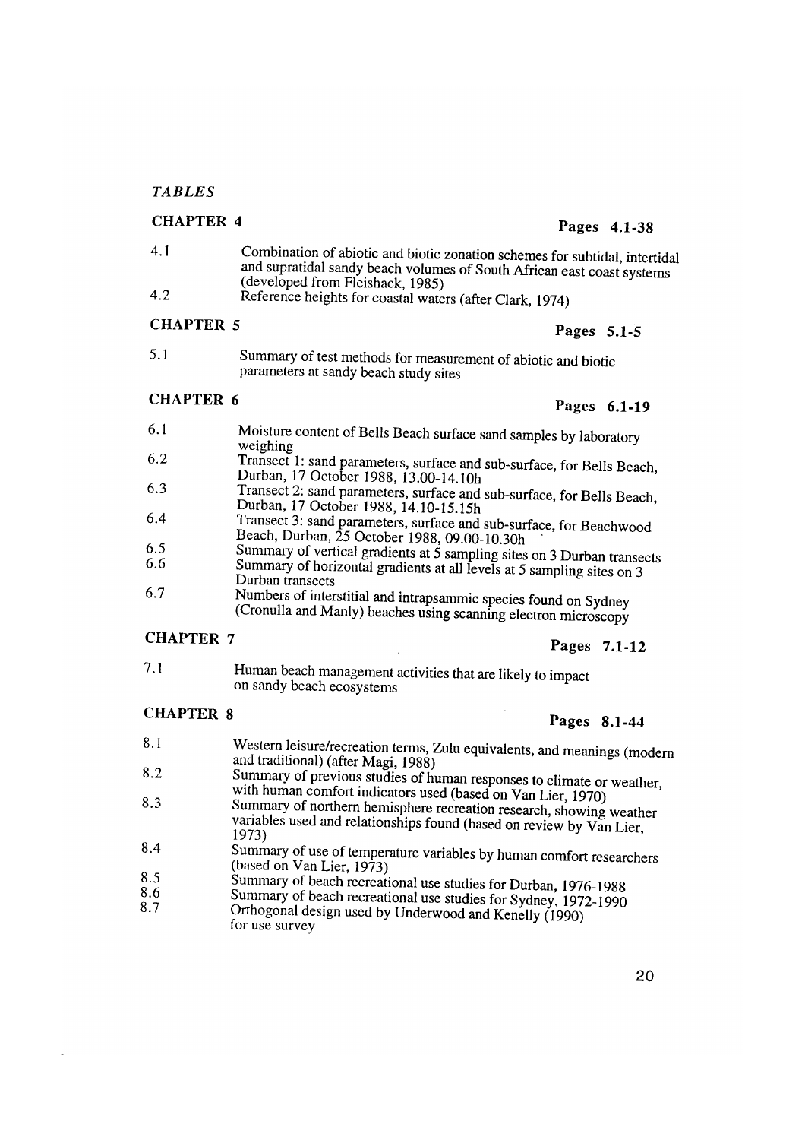### *TABLES*

# CHAPTER 4 Pages 4.1-38

- 4. 1 Combination of abiotic and biotic zonation schemes for subtidal, intertidal and supratidal sandy beach volumes of South African east coast systems (developed from Fleishack, 1985)
- 4.2 Reference heights for coastal waters (after Clark, 1974)

# CHAPTER 5 Pages 5.1-5

- 
- 5. 1 Summary of test methods for measurement of abiotic and biotic parameters at sandy beach study sites

# CHAPTER 6 Pages 6.1-19

- 6.1 Moisture content of Bells Beach surface sand samples by laboratory weighing 6.2 Transect 1: sand parameters, surface and sub-surface, for Bells Beach,
- Durban, 17 October 1988, 13.00-14.10h
- 6.3 Transect 2: sand parameters, surface and sub-surface, for Bells Beach, Durban, 17 October 1988, 14.10-15.15h
- 6.4 Transect 3: sand parameters, surface and sub-surface, for Beachwood<br>Beach, Durban, 25 October 1988, 09.00-10.30h<br>6.5 Summary of vertical gradients at 5 sempling sites or 2 D. 1
- 6.5 Summary of vertical gradients at  $\frac{5}{5}$  sampling sites on 3 Durban transects 6.6 Summary of horizontal gradients at all layels at  $\frac{5}{5}$  summary
- 6.6 Summary of horizontal gradients at all levels at 5 sampling sites on 3<br>Durban transects<br>6.7 Numbers of interstitial and intenseming speaks for all and all Numbers of interstitial and intrapsammic species found on Sydney

(Cronulla and Manly) beaches using scanning electron microscopy

# CHAPTER 7 Pages 7.1-12

7.1 Human beach management activities that are likely to impact on sandy beach ecosystems

# CHAPTER 8 Pages 8.1-44

- 8.1 Western leisure/recreation terms, Zulu equivalents, and meanings (modern and traditional) (after Magi, 1988)
- 8.2 Summary of previous studies of human responses to climate or weather, with human comfort indicators used (based on Van Lier, 1970)
- 8.3 Summary of northern hemisphere recreation research, showing weather variables used and relationships found (based on review by Van Lier, 1973)
- 8.4 Summary of use of temperature variables by human comfort researchers (based on Van Lier, 1973)
- 8.5 Summary of beach recreational use studies for Durban, 1976-1988<br>8.6 Summary of beach recreational use studies for Sudan, 1976-1988
- 8.6 Summary of beach recreational use studies for Sydney, 1972-1990 Orthogonal design used by Underwood and Kenelly (1990) for use survey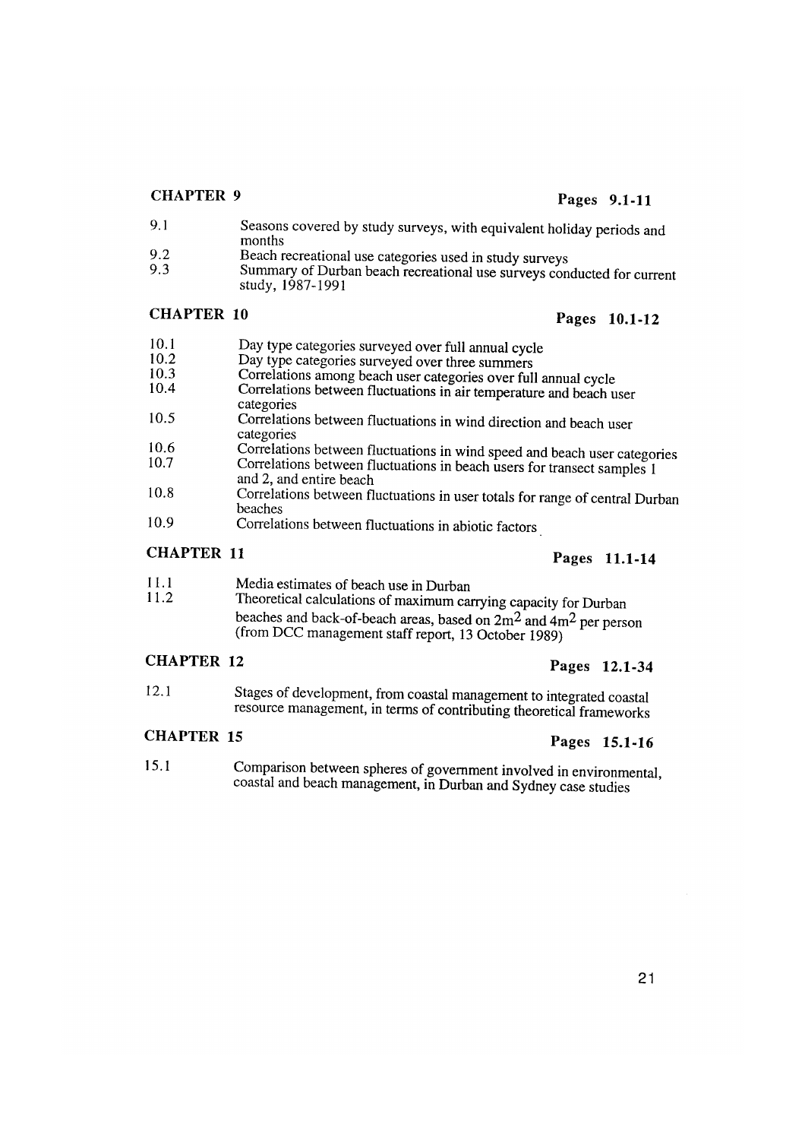# CHAPTER 9 Pages 9.1-11

- 9.1 Seasons covered by study surveys, with equivalent holiday periods and months
- 9.2 Beach recreational use categories used in study surveys<br>9.3 Summary of Durban beach recreational use surveys con
- Summary of Durban beach recreational use surveys conducted for current study, 1987-1991

# CHAPTER 10 Pages 10.1-12

| 10.1 | Day type categories surveyed over full annual cycle                                                |
|------|----------------------------------------------------------------------------------------------------|
| 10.2 | Day type categories surveyed over three summers                                                    |
| 10.3 | Correlations among beach user categories over full annual cycle                                    |
| 10.4 | Correlations between fluctuations in air temperature and beach user<br>categories                  |
| 10.5 | Correlations between fluctuations in wind direction and beach user<br>categories                   |
| 10.6 | Correlations between fluctuations in wind speed and beach user categories                          |
| 10.7 | Correlations between fluctuations in beach users for transect samples 1<br>and 2, and entire beach |
| 10.8 | Correlations between fluctuations in user totals for range of central Durban<br>beaches            |
| 10.9 | Correlations between fluctuations in abiotic factors                                               |

# CHAPTER 11 Pages 11.1-14

- 11.1 Media estimates of beach use in Durban 11.2 Theoretical calculations of maximum can
- Theoretical calculations of maximum carrying capacity for Durban beaches and back-of-beach areas, based on  $2m^2$  and  $4m^2$  per person (from DCC management staff report, 13 October 1989)

# CHAPTER 12 Pages 12.1-34

12.1 Stages of development, from coastal management to integrated coastal resource management, in terms of contributing theoretical frameworks

# CHAPTER 15 Pages 15.1-16

15.1 Comparison between spheres of government involved in environmental, coastal and beach management, in Durban and Sydney case studies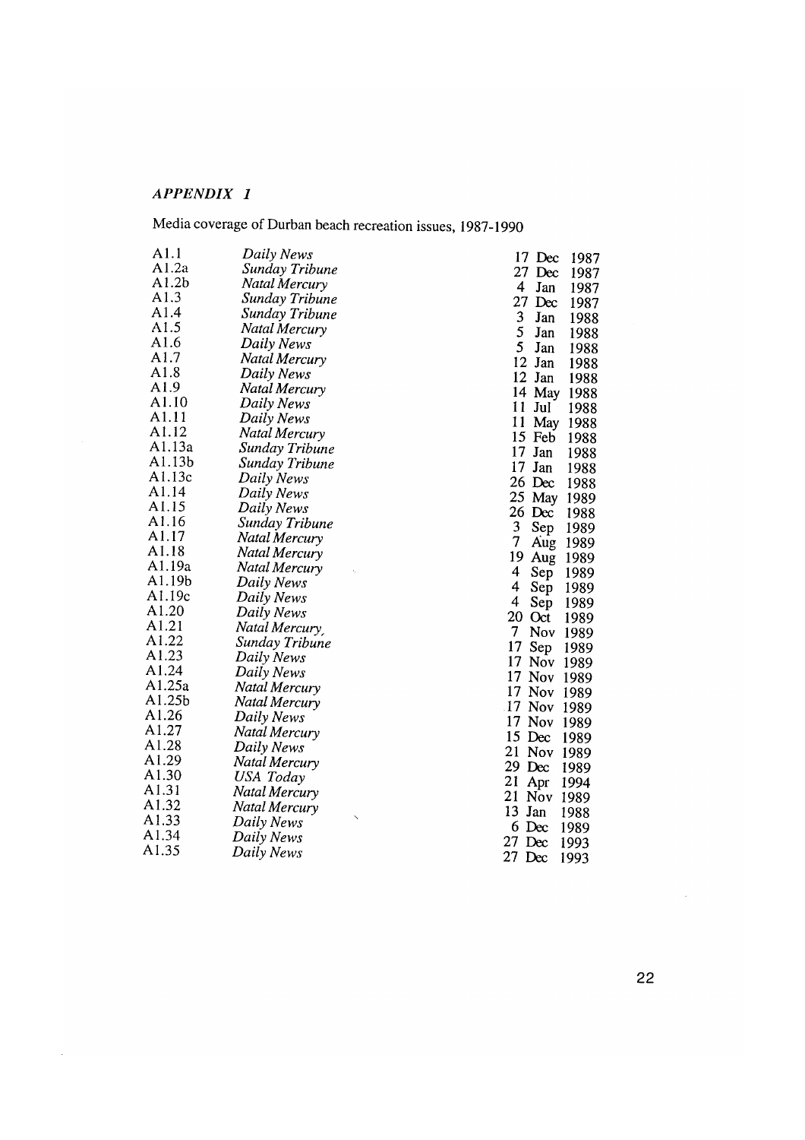# *APPENDIX I*

 $\omega_{\rm c}$ 

Media coverage of Durban beach recreation issues, 1987-1990

| A1.1             | Daily News               | 17 Dec<br>1987                         |
|------------------|--------------------------|----------------------------------------|
| A1.2a            | Sunday Tribune           | 27 Dec<br>1987                         |
| A1.2b            | Natal Mercury            | 4<br>Jan<br>1987                       |
| A1.3             | Sunday Tribune           | $27$ Dec<br>1987                       |
| A1.4             | Sunday Tribune           | 3<br>Jan<br>1988                       |
| A1.5             | Natal Mercury            | 5<br>Jan<br>1988                       |
| A1.6             | Daily News               | 5<br>Jan<br>1988                       |
| A1.7             | Natal Mercury            | 12 Jan<br>1988                         |
| A1.8             | Daily News               | 12 Jan<br>1988                         |
| A1.9             | Natal Mercury            | 14 May<br>1988                         |
| A1.10            | Daily News               | $11$ Jul<br>1988                       |
| A1.11            | Daily News               | 11<br>May<br>1988                      |
| A1.12            | Natal Mercury            | 15 Feb<br>1988                         |
| A1.13a           | Sunday Tribune           | $17$ Jan<br>1988                       |
| A1.13b           | Sunday Tribune           | $17$ Jan<br>1988                       |
| A1.13c           | Daily News               | $26$ Dec<br>1988                       |
| A1.14            | Daily News               | 25 May<br>1989                         |
| A1.15            | Daily News               | $26 \text{ Dec}$<br>1988               |
| A1.16            | Sunday Tribune           | 3<br>Sep<br>1989                       |
| A1.17            | Natal Mercury            | 7<br>Aug 1989                          |
| A1.18            | Natal Mercury            | 19<br>Aug 1989                         |
| A1.19a           | Natal Mercury            | 4<br>Sep<br>1989                       |
| A1.19b           | Daily News               | 4<br>Sep<br>1989                       |
| A1.19c           | Daily News               | $\overline{\mathbf{4}}$<br>Sep<br>1989 |
| A1.20            | Daily News               | 20 Oct<br>1989                         |
| A1.21            | Natal Mercury            | 7<br>Nov 1989                          |
| A1.22            | Sunday Tribune           | 17<br>Sep<br>1989                      |
| A1.23            | Daily News               | 17 Nov 1989                            |
| A1.24            | Daily News               | 17 Nov 1989                            |
| A1.25a<br>A1.25b | Natal Mercury            | 17 Nov 1989                            |
| A1.26            | Natal Mercury            | 17 Nov 1989                            |
| A1.27            | Daily News               | 17 Nov 1989                            |
| A1.28            | Natal Mercury            | 15 Dec<br>1989                         |
| A1.29            | Daily News               | 21 Nov 1989                            |
| A1.30            | Natal Mercury            | $29$ Dec<br>1989                       |
| A1.31            | USA Today                | 21<br>Apr<br>1994                      |
| A1.32            | Natal Mercury            | 21 Nov 1989                            |
| A1.33            | Natal Mercury            | 13<br>Jan<br>1988                      |
| A1.34            | Daily News               | $6$ Dec<br>1989                        |
| A1.35            | Daily News<br>Daily News | $27$ Dec<br>1993                       |
|                  |                          | 27 Dec<br>1993                         |

22

 $\sim 10$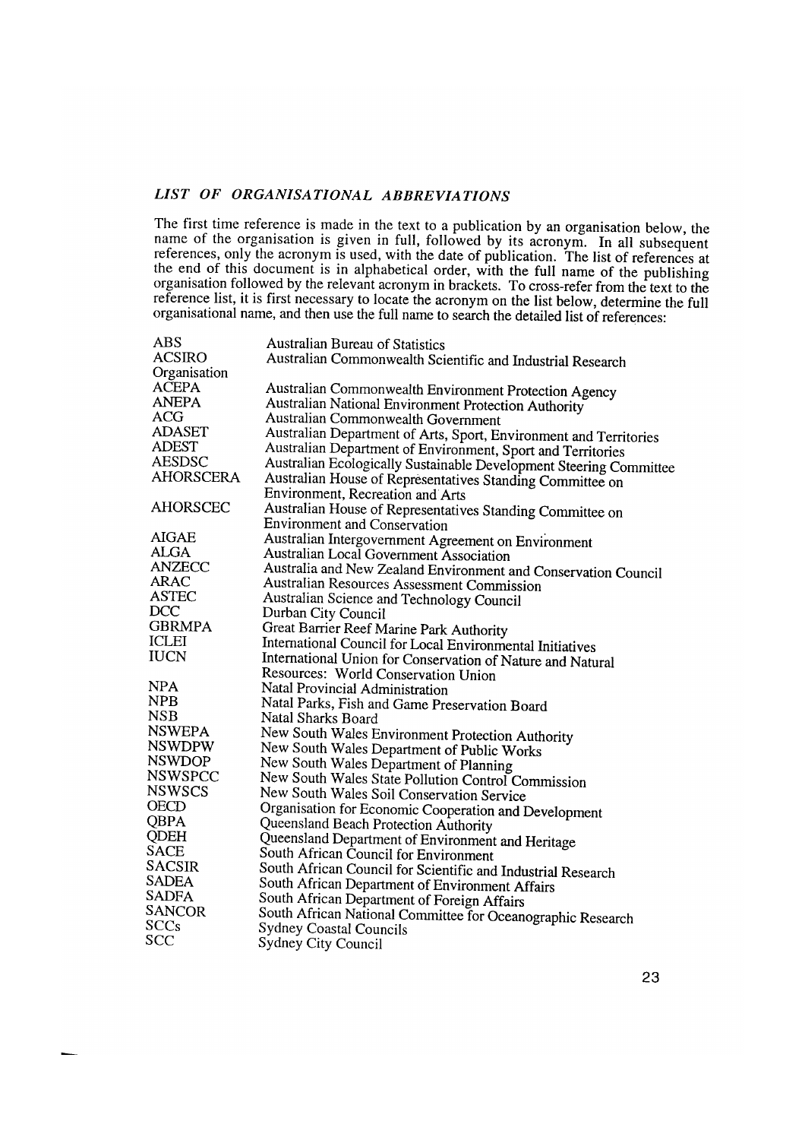### *LIST OF ORGANISATIONAL ABBREVIATIONS*

The first time reference is made in the text to a publication by an organisation below, the name of the organisation is given in full, followed by its acronym. In all subsequent references, only the acronym is used, with the date of publication. The list of references at the end of this document is in alphabetical order, with the full name of the publishing organisation followed by the relevant acronym in brackets. To cross-refer from the text to the reference list, it is first necessary to locate the acronym on the list below, determine the full organisational name, and then use the full name to search the detailed list of references:

| <b>ABS</b>       | <b>Australian Bureau of Statistics</b>                             |
|------------------|--------------------------------------------------------------------|
| <b>ACSIRO</b>    | Australian Commonwealth Scientific and Industrial Research         |
| Organisation     |                                                                    |
| <b>ACEPA</b>     | Australian Commonwealth Environment Protection Agency              |
| <b>ANEPA</b>     | Australian National Environment Protection Authority               |
| ACG              | Australian Commonwealth Government                                 |
| <b>ADASET</b>    | Australian Department of Arts, Sport, Environment and Territories  |
| <b>ADEST</b>     | Australian Department of Environment, Sport and Territories        |
| <b>AESDSC</b>    | Australian Ecologically Sustainable Development Steering Committee |
| <b>AHORSCERA</b> | Australian House of Representatives Standing Committee on          |
|                  | Environment, Recreation and Arts                                   |
| <b>AHORSCEC</b>  | Australian House of Representatives Standing Committee on          |
|                  | <b>Environment and Conservation</b>                                |
| <b>AIGAE</b>     | Australian Intergovernment Agreement on Environment                |
| <b>ALGA</b>      | Australian Local Government Association                            |
| <b>ANZECC</b>    | Australia and New Zealand Environment and Conservation Council     |
| ARAC             | <b>Australian Resources Assessment Commission</b>                  |
| ASTEC            | Australian Science and Technology Council                          |
| DCC              | Durban City Council                                                |
| <b>GBRMPA</b>    | Great Barrier Reef Marine Park Authority                           |
| <b>ICLEI</b>     | International Council for Local Environmental Initiatives          |
| <b>IUCN</b>      | International Union for Conservation of Nature and Natural         |
|                  | Resources: World Conservation Union                                |
| <b>NPA</b>       | Natal Provincial Administration                                    |
| <b>NPB</b>       | Natal Parks, Fish and Game Preservation Board                      |
| NSB              | Natal Sharks Board                                                 |
| <b>NSWEPA</b>    | New South Wales Environment Protection Authority                   |
| <b>NSWDPW</b>    | New South Wales Department of Public Works                         |
| <b>NSWDOP</b>    | New South Wales Department of Planning                             |
| <b>NSWSPCC</b>   | New South Wales State Pollution Control Commission                 |
| <b>NSWSCS</b>    | New South Wales Soil Conservation Service                          |
| OECD             | Organisation for Economic Cooperation and Development              |
| <b>QBPA</b>      | Queensland Beach Protection Authority                              |
| <b>QDEH</b>      | Queensland Department of Environment and Heritage                  |
| <b>SACE</b>      | South African Council for Environment                              |
| <b>SACSIR</b>    | South African Council for Scientific and Industrial Research       |
| <b>SADEA</b>     | South African Department of Environment Affairs                    |
| <b>SADFA</b>     | South African Department of Foreign Affairs                        |
| <b>SANCOR</b>    | South African National Committee for Oceanographic Research        |
| SCCs             | <b>Sydney Coastal Councils</b>                                     |
| SCC              | Sydney City Council                                                |